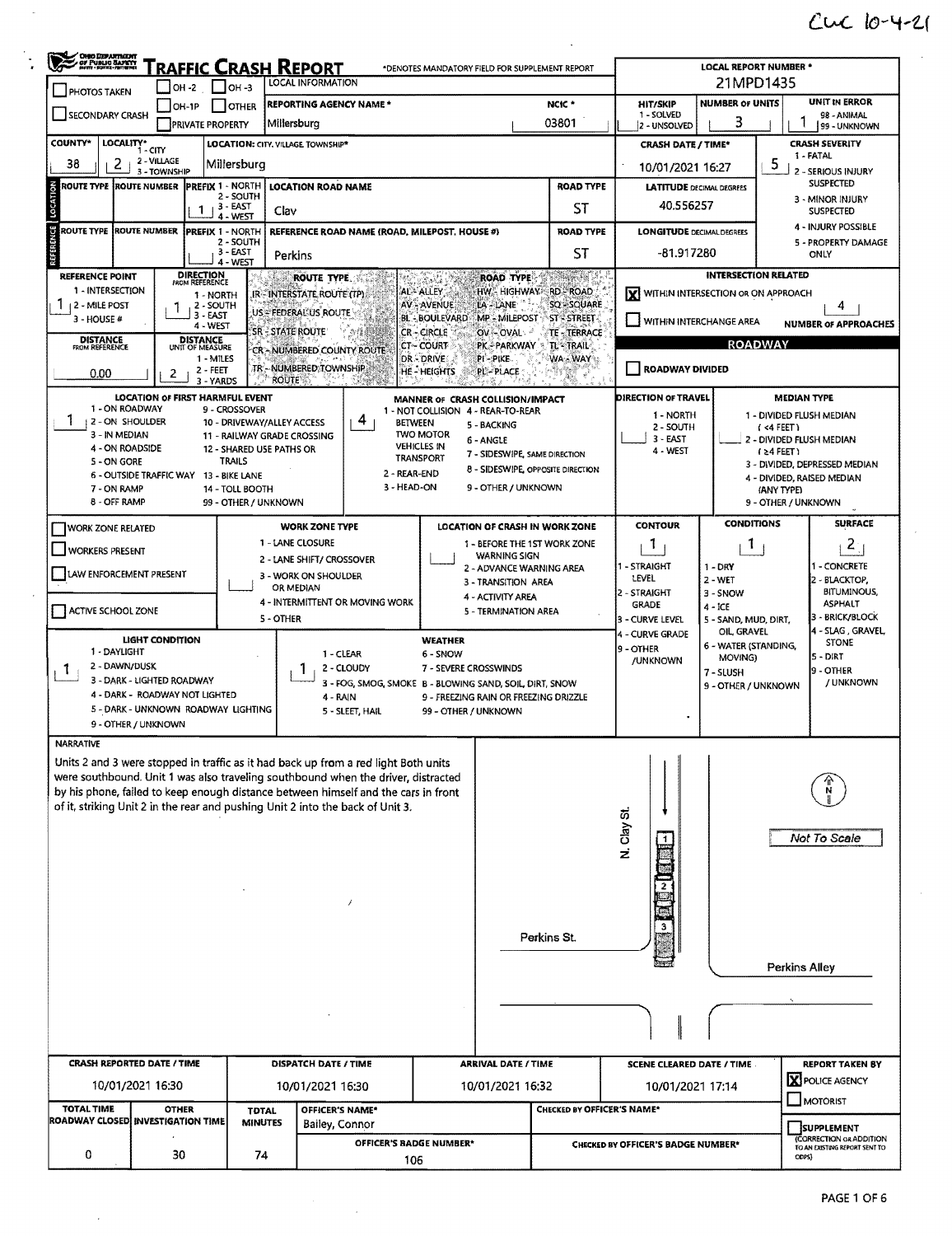## $CUC$   $10-4-21$

| <b>CHEO DEPARTMENT</b><br>A CHE PUBLIC SAFETY | Traffic Crash Report                                       | <b>LOCAL REPORT NUMBER *</b>                              |                                                                                                                                                                      |                                        |                                                                                                                       |                                                                                            |                                    |                                                                          |                                                             |  |  |  |
|-----------------------------------------------|------------------------------------------------------------|-----------------------------------------------------------|----------------------------------------------------------------------------------------------------------------------------------------------------------------------|----------------------------------------|-----------------------------------------------------------------------------------------------------------------------|--------------------------------------------------------------------------------------------|------------------------------------|--------------------------------------------------------------------------|-------------------------------------------------------------|--|--|--|
| PHOTOS TAKEN                                  | OH -2                                                      | <b>LOCAL INFORMATION</b><br>$1$ lo <sub>H</sub> -3        | 21MPD1435                                                                                                                                                            |                                        |                                                                                                                       |                                                                                            |                                    |                                                                          |                                                             |  |  |  |
| SECONDARY CRASH                               | $I$ OH-1P                                                  | <b>OTHER</b>                                              | <b>REPORTING AGENCY NAME *</b>                                                                                                                                       |                                        |                                                                                                                       | NCIC <sup>*</sup>                                                                          | HIT/SKIP<br>1 - SOLVED             | <b>NUMBER OF UNITS</b><br>3                                              | <b>UNIT IN ERROR</b><br>98 - ANIMAL                         |  |  |  |
|                                               | <b>PRIVATE PROPERTY</b>                                    | Millersburg                                               |                                                                                                                                                                      |                                        |                                                                                                                       | 03801                                                                                      | 2 - UNSOLVED                       | 99 - UNKNOWN                                                             |                                                             |  |  |  |
| <b>COUNTY*</b><br>LOCALITY*                   | - CITY                                                     | <b>LOCATION: CITY, VILLAGE TOWNSHIP*</b>                  |                                                                                                                                                                      |                                        |                                                                                                                       | <b>CRASH DATE / TIME*</b>                                                                  | <b>CRASH SEVERITY</b><br>1 - FATAL |                                                                          |                                                             |  |  |  |
| 2<br>38                                       | 2 - VILLAGE<br>3 - TOWNSHIP                                | Millersburg                                               |                                                                                                                                                                      |                                        |                                                                                                                       | 10/01/2021 16:27                                                                           |                                    | 5.<br>2 - SERIOUS INJURY                                                 |                                                             |  |  |  |
| <b>ROUTE TYPE ROUTE NUMBER</b>                | <b>IPREFIX 1 - NORTH</b>                                   | 2 - SOUTH                                                 | <b>LOCATION ROAD NAME</b>                                                                                                                                            |                                        |                                                                                                                       | <b>ROAD TYPE</b>                                                                           | <b>LATITUDE DECIMAL DEGREES</b>    |                                                                          | <b>SUSPECTED</b>                                            |  |  |  |
| LOCATION                                      | 1                                                          | 3 EAST<br>Clav<br>4 - WEST                                |                                                                                                                                                                      |                                        |                                                                                                                       | <b>ST</b>                                                                                  | 40.556257                          |                                                                          | 3 - MINOR INJURY<br><b>SUSPECTED</b>                        |  |  |  |
| ROUTE TYPE ROUTE NUMBER                       | <b>PREFIX 1 - NORTH</b>                                    |                                                           | REFERENCE ROAD NAME (ROAD, MILEPOST, HOUSE #)                                                                                                                        |                                        |                                                                                                                       | <b>ROAD TYPE</b>                                                                           | <b>LONGITUDE DECIMAL DEGREES</b>   | 4 - INJURY POSSIBLE                                                      |                                                             |  |  |  |
| REFERENCE                                     |                                                            | 2 - SOUTH<br>3 - EAST<br>Perkins                          |                                                                                                                                                                      |                                        |                                                                                                                       | ST                                                                                         | $-81.917280$                       |                                                                          | 5 - PROPERTY DAMAGE<br><b>ONLY</b>                          |  |  |  |
| REFERENCE POINT                               |                                                            | 4 - WEST                                                  |                                                                                                                                                                      |                                        | <b>ROAD TYPE</b>                                                                                                      | Served St.                                                                                 |                                    | <b>INTERSECTION RELATED</b>                                              |                                                             |  |  |  |
| 1 - INTERSECTION                              | <b>DIRECTION</b><br>FROM REFERENCE<br>1 - NORTH            |                                                           | ROUTE TYPE.<br>IR-INTERSTATE ROUTE (TP)                                                                                                                              | AL-ALLEY                               |                                                                                                                       | HW - HIGHWAY - RD - ROAD                                                                   | ΙxΙ                                | WITHIN INTERSECTION OR ON APPROACH                                       |                                                             |  |  |  |
| 12 - MILE POST                                | 2 - SOUTH<br>3 - EAST                                      |                                                           | US = FEDERAL US ROUTE                                                                                                                                                | AV-AVENUE<br><b>BL - BOULEVARD</b>     | LA - LANE                                                                                                             | SQ - SQUARE                                                                                |                                    |                                                                          | 4                                                           |  |  |  |
| 3 - HOUSE #                                   | 4 - WEST                                                   | <b>SR-STATE ROUTE</b>                                     |                                                                                                                                                                      | <b>CR-CIRCLE</b>                       | MP - MILEPOST<br>OV-OVAL                                                                                              | <b>ST STREET</b><br>TE - TERRACE                                                           | WITHIN INTERCHANGE AREA            |                                                                          | <b>NUMBER OF APPROACHES</b>                                 |  |  |  |
| <b>DISTANCE</b><br>FROM REFERENCE             | <b>DISTANCE</b><br>UNIT OF MEASURE<br>1 - MILES            |                                                           | CR-NUMBERED COUNTY ROUTE                                                                                                                                             | <b>CT-COURT</b><br>DR-DRIVE            | <b>PK-PARKWAY</b><br>PI-PIKE                                                                                          | TL-TRAIL<br>WA - WAY                                                                       |                                    | <b>ROADWAY</b>                                                           |                                                             |  |  |  |
| 0.00                                          | 2 - FEET<br>2                                              |                                                           | TR - NUMBERED TOWNSHIP                                                                                                                                               | <b>HE-HEIGHTS</b>                      | PL-PLACE                                                                                                              |                                                                                            | <b>ROADWAY DIVIDED</b>             |                                                                          |                                                             |  |  |  |
|                                               | 3 - YARDS<br>LOCATION OF FIRST HARMFUL EVENT               | <b>ROUTE</b>                                              |                                                                                                                                                                      | MANNER OF CRASH COLLISION/IMPACT       |                                                                                                                       |                                                                                            | DIRECTION OF TRAVEL                |                                                                          | <b>MEDIAN TYPE</b>                                          |  |  |  |
| 1 - ON ROADWAY                                |                                                            | 9 - CROSSOVER                                             |                                                                                                                                                                      | 1 - NOT COLLISION 4 - REAR-TO-REAR     |                                                                                                                       |                                                                                            | 1 - NORTH                          |                                                                          | 1 - DIVIDED FLUSH MEDIAN                                    |  |  |  |
| ı<br>12 - ON SHOULDER<br>3 - IN MEDIAN        |                                                            | 10 - DRIVEWAY/ALLEY ACCESS<br>11 - RAILWAY GRADE CROSSING | 4<br><b>BETWEEN</b>                                                                                                                                                  | <b>TWO MOTOR</b>                       | 5 - BACKING                                                                                                           |                                                                                            | 2 - SOUTH<br>$3 - EAST$            |                                                                          | $($ <4 FEET)<br>2 - DIVIDED FLUSH MEDIAN                    |  |  |  |
| 4 - ON ROADSIDE                               |                                                            | 12 - SHARED USE PATHS OR                                  |                                                                                                                                                                      | <b>VEHICLES IN</b><br><b>TRANSPORT</b> | 6 - ANGLE<br>7 - SIDESWIPE, SAME DIRECTION                                                                            |                                                                                            | 4 - WEST                           |                                                                          | $(24$ FEET)                                                 |  |  |  |
| <b>5 - ON GORE</b>                            | 6 - OUTSIDE TRAFFIC WAY 13 - BIKE LANE                     | <b>TRAILS</b>                                             | 2 - REAR-END                                                                                                                                                         |                                        |                                                                                                                       | 8 - SIDESWIPE, OPPOSITE DIRECTION                                                          |                                    |                                                                          | 3 - DIVIDED, DEPRESSED MEDIAN<br>4 - DIVIDED, RAISED MEDIAN |  |  |  |
| 7 - ON RAMP                                   |                                                            | 14 - TOLL BOOTH                                           | 3 - HEAD-ON                                                                                                                                                          |                                        | 9 - OTHER / UNKNOWN                                                                                                   |                                                                                            |                                    |                                                                          | (ANY TYPE)                                                  |  |  |  |
| 8 - OFF RAMP                                  |                                                            | 99 - OTHER / UNKNOWN                                      |                                                                                                                                                                      |                                        |                                                                                                                       |                                                                                            |                                    |                                                                          | 9 - OTHER / UNKNOWN                                         |  |  |  |
| <b>WORK ZONE RELATED</b>                      |                                                            |                                                           | <b>WORK ZONE TYPE</b>                                                                                                                                                |                                        |                                                                                                                       | LOCATION OF CRASH IN WORK ZONE                                                             | <b>CONTOUR</b>                     | <b>CONDITIONS</b>                                                        | <b>SURFACE</b><br>$\mathbf{S}$                              |  |  |  |
| <b>WORKERS PRESENT</b>                        |                                                            |                                                           | 1 - LANE CLOSURE<br>2 - LANE SHIFT/ CROSSOVER                                                                                                                        |                                        | 1 - BEFORE THE 1ST WORK ZONE<br>ı<br>1<br><b>WARNING SIGN</b>                                                         |                                                                                            |                                    |                                                                          |                                                             |  |  |  |
| LAW ENFORCEMENT PRESENT                       |                                                            |                                                           | 3 - WORK ON SHOULDER                                                                                                                                                 |                                        | 2 - ADVANCE WARNING AREA<br>3 - TRANSITION AREA                                                                       |                                                                                            | 1 - STRAIGHT<br>LEVEL              | $1 - DRY$<br>$2 - WET$                                                   | 1 - CONCRETE<br>2 - BLACKTOP,                               |  |  |  |
|                                               |                                                            |                                                           | OR MEDIAN<br>4 - INTERMITTENT OR MOVING WORK                                                                                                                         |                                        | 4 - ACTIVITY AREA                                                                                                     |                                                                                            | 2 - STRAIGHT                       | 3 - SNOW                                                                 | <b>BITUMINOUS,</b><br><b>ASPHALT</b>                        |  |  |  |
| ACTIVE SCHOOL ZONE                            |                                                            | <b>5 - OTHER</b>                                          |                                                                                                                                                                      |                                        | 5 - TERMINATION AREA                                                                                                  |                                                                                            | <b>GRADE</b><br>3 - CURVE LEVEL    | $4 - ICE$<br>5 - SAND, MUD, DIRT,                                        | 3 - BRICK/BLOCK                                             |  |  |  |
|                                               | LIGHT CONDITION                                            |                                                           |                                                                                                                                                                      | <b>WEATHER</b>                         |                                                                                                                       | 4 - SLAG, GRAVEL<br>OIL, GRAVEL<br>4 - CURVE GRADE<br><b>STONE</b><br>6 - WATER (STANDING, |                                    |                                                                          |                                                             |  |  |  |
| 1 - DAYLIGHT                                  |                                                            |                                                           | 1 - CLEAR                                                                                                                                                            | 6 - SNOW                               |                                                                                                                       |                                                                                            | 9 - OTHER<br>/UNKNOWN              | MOVING)                                                                  | $5 - DIRT$                                                  |  |  |  |
| 2 - DAWN/DUSK<br>τ                            | 3 - DARK - LIGHTED ROADWAY                                 |                                                           | 2 - CLOUDY                                                                                                                                                           | 7 - SEVERE CROSSWINDS                  | 9 - OTHER<br>7 - SLUSH<br>/ UNKNOWN<br>3 - FOG, SMOG, SMOKE B - BLOWING SAND, SOIL, DIRT, SNOW<br>9 - OTHER / UNKNOWN |                                                                                            |                                    |                                                                          |                                                             |  |  |  |
|                                               | 4 - DARK - ROADWAY NOT LIGHTED                             |                                                           | 4 - RAIN                                                                                                                                                             |                                        | 9 - FREEZING RAIN OR FREEZING DRIZZLE                                                                                 |                                                                                            |                                    |                                                                          |                                                             |  |  |  |
|                                               | 5 - DARK - UNKNOWN ROADWAY LIGHTING<br>9 - OTHER / UNKNOWN |                                                           | 5 - SLEET, HAIL                                                                                                                                                      | 99 - OTHER / UNKNOWN                   |                                                                                                                       |                                                                                            |                                    |                                                                          |                                                             |  |  |  |
| <b>NARRATIVE</b>                              |                                                            |                                                           |                                                                                                                                                                      |                                        |                                                                                                                       |                                                                                            |                                    |                                                                          |                                                             |  |  |  |
|                                               |                                                            |                                                           | Units 2 and 3 were stopped in traffic as it had back up from a red light Both units                                                                                  |                                        |                                                                                                                       |                                                                                            |                                    |                                                                          |                                                             |  |  |  |
|                                               |                                                            |                                                           | were southbound. Unit 1 was also traveling southbound when the driver, distracted                                                                                    |                                        |                                                                                                                       |                                                                                            |                                    |                                                                          |                                                             |  |  |  |
|                                               |                                                            |                                                           | by his phone, failed to keep enough distance between himself and the cars in front<br>of it, striking Unit 2 in the rear and pushing Unit 2 into the back of Unit 3. |                                        |                                                                                                                       |                                                                                            |                                    |                                                                          |                                                             |  |  |  |
|                                               |                                                            |                                                           |                                                                                                                                                                      |                                        |                                                                                                                       |                                                                                            |                                    |                                                                          |                                                             |  |  |  |
|                                               |                                                            |                                                           |                                                                                                                                                                      |                                        |                                                                                                                       |                                                                                            | N. Clay St.                        |                                                                          | Not To Scale                                                |  |  |  |
|                                               |                                                            |                                                           |                                                                                                                                                                      |                                        |                                                                                                                       |                                                                                            |                                    |                                                                          |                                                             |  |  |  |
|                                               |                                                            |                                                           |                                                                                                                                                                      |                                        |                                                                                                                       |                                                                                            |                                    |                                                                          |                                                             |  |  |  |
|                                               |                                                            |                                                           | J                                                                                                                                                                    |                                        |                                                                                                                       |                                                                                            |                                    |                                                                          |                                                             |  |  |  |
|                                               |                                                            |                                                           |                                                                                                                                                                      |                                        |                                                                                                                       |                                                                                            |                                    |                                                                          |                                                             |  |  |  |
|                                               |                                                            |                                                           |                                                                                                                                                                      |                                        | Perkins St.                                                                                                           |                                                                                            |                                    |                                                                          |                                                             |  |  |  |
|                                               |                                                            |                                                           |                                                                                                                                                                      |                                        |                                                                                                                       |                                                                                            |                                    |                                                                          | Perkins Alley                                               |  |  |  |
|                                               |                                                            |                                                           |                                                                                                                                                                      |                                        |                                                                                                                       |                                                                                            |                                    |                                                                          |                                                             |  |  |  |
|                                               |                                                            |                                                           |                                                                                                                                                                      |                                        |                                                                                                                       |                                                                                            |                                    |                                                                          |                                                             |  |  |  |
|                                               |                                                            |                                                           |                                                                                                                                                                      |                                        |                                                                                                                       |                                                                                            |                                    |                                                                          |                                                             |  |  |  |
|                                               |                                                            |                                                           |                                                                                                                                                                      |                                        |                                                                                                                       |                                                                                            |                                    |                                                                          |                                                             |  |  |  |
|                                               | <b>CRASH REPORTED DATE / TIME</b>                          |                                                           | <b>DISPATCH DATE / TIME</b>                                                                                                                                          |                                        | <b>ARRIVAL DATE / TIME</b>                                                                                            |                                                                                            | <b>SCENE CLEARED DATE / TIME</b>   |                                                                          | <b>REPORT TAKEN BY</b>                                      |  |  |  |
|                                               | 10/01/2021 16:30                                           |                                                           | 10/01/2021 16:30                                                                                                                                                     |                                        | 10/01/2021 16:32                                                                                                      |                                                                                            | 10/01/2021 17:14                   |                                                                          | <b>X</b> POLICE AGENCY                                      |  |  |  |
| TOTAL TIME                                    | <b>OTHER</b>                                               | <b>TDTAL</b>                                              | OFFICER'S NAME*                                                                                                                                                      |                                        |                                                                                                                       | <b>CHECKED BY OFFICER'S NAME*</b>                                                          |                                    |                                                                          | <b>MOTORIST</b>                                             |  |  |  |
|                                               | <b>ROADWAY CLOSED INVESTIGATION TIME</b>                   | <b>MINUTES</b>                                            | Bailey, Connor                                                                                                                                                       |                                        |                                                                                                                       |                                                                                            |                                    | <b>SUPPLEMENT</b>                                                        |                                                             |  |  |  |
| 0                                             | 30                                                         | 74                                                        | OFFICER'S BADGE NUMBER*                                                                                                                                              |                                        |                                                                                                                       |                                                                                            | CHECKED BY OFFICER'S BADGE NUMBER* | <b>(CORRECTION OR ADDITION</b><br>TO AN EXISTING REPORT SENT TO<br>ODPS) |                                                             |  |  |  |
|                                               |                                                            |                                                           | 106                                                                                                                                                                  |                                        |                                                                                                                       |                                                                                            |                                    |                                                                          |                                                             |  |  |  |

 $\bar{\beta}$ 

 $\bar{z}$ 

 $\ddot{\phantom{a}}$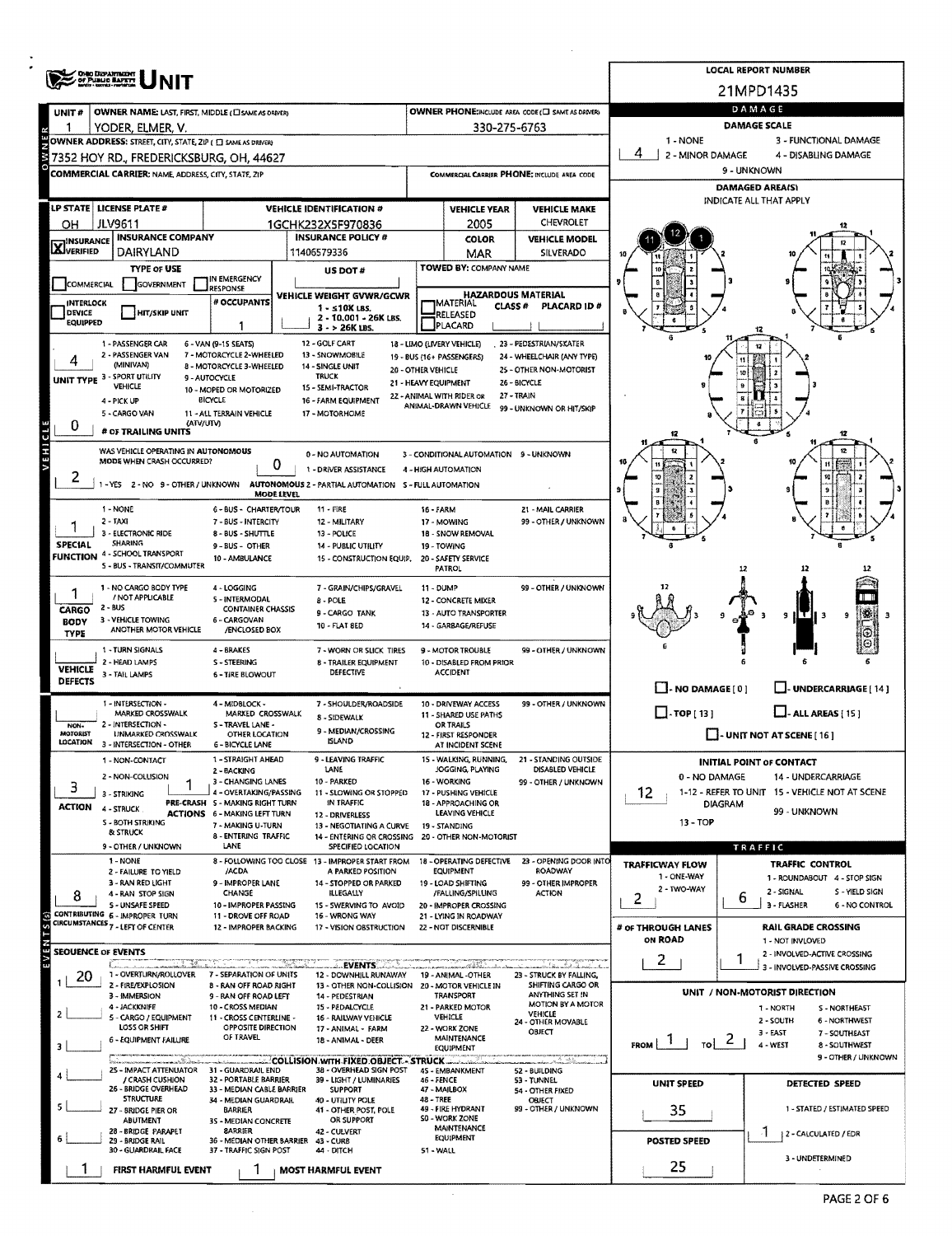|                                   | <b>ONO DEPARTMENT</b><br>OF PUBLIC BAFETT                                                      |                                                           |                                                       |                                        |                    |                                                    |                                                       |                                               |                            | <b>LOCAL REPORT NUMBER</b>                                   |  |  |  |
|-----------------------------------|------------------------------------------------------------------------------------------------|-----------------------------------------------------------|-------------------------------------------------------|----------------------------------------|--------------------|----------------------------------------------------|-------------------------------------------------------|-----------------------------------------------|----------------------------|--------------------------------------------------------------|--|--|--|
|                                   |                                                                                                |                                                           |                                                       |                                        |                    |                                                    |                                                       |                                               | 21MPD1435                  |                                                              |  |  |  |
| UNIT#                             | OWNER NAME: LAST, FIRST, MIDDLE (C) SAME AS ORIVERY                                            |                                                           |                                                       |                                        |                    |                                                    | OWNER PHONE:INCLUDE AREA CODE (E) SAME AS DRIVER)     |                                               | DAMAGE                     |                                                              |  |  |  |
|                                   | YODER, ELMER, V.                                                                               |                                                           |                                                       |                                        |                    | 330-275-6763                                       |                                                       | 1 NONE                                        | DAMAGE SCALE               | 3 - FUNCTIONAL DAMAGE                                        |  |  |  |
|                                   | OWNER ADDRESS: STREET, CITY, STATE, ZIP ( C) SAME AS DRIVERY                                   |                                                           |                                                       |                                        |                    |                                                    |                                                       | 4<br>2 - MINOR DAMAGE<br>4 - DISABLING DAMAGE |                            |                                                              |  |  |  |
|                                   | 7352 HOY RD., FREDERICKSBURG, OH, 44627<br>COMMERCIAL CARRIER: NAME, ADDRESS, CITY, STATE, ZIP |                                                           |                                                       |                                        |                    |                                                    | COMMERCIAL CARRIER PHONE: INCLUDE AREA CODE           | 9 - UNKNOWN                                   |                            |                                                              |  |  |  |
|                                   |                                                                                                |                                                           |                                                       |                                        |                    |                                                    |                                                       | <b>DAMAGED AREA(S)</b>                        |                            |                                                              |  |  |  |
|                                   | LP STATE   LICENSE PLATE #                                                                     |                                                           | <b>VEHICLE IDENTIFICATION #</b>                       |                                        |                    | <b>VEHICLE YEAR</b>                                | <b>VEHICLE MAKE</b>                                   |                                               |                            | INDICATE ALL THAT APPLY                                      |  |  |  |
| ОH                                | <b>JLV9611</b>                                                                                 |                                                           | 1GCHK232X5F970836                                     |                                        | CHEVROLET<br>2005  |                                                    |                                                       |                                               |                            | 12                                                           |  |  |  |
| <b>X</b> INSURANCE                | <b>INSURANCE COMPANY</b>                                                                       |                                                           | <b>INSURANCE POLICY #</b>                             |                                        |                    | <b>COLOR</b>                                       | <b>VEHICLE MODEL</b>                                  |                                               |                            |                                                              |  |  |  |
|                                   | DAIRYLAND                                                                                      |                                                           | 11406579336                                           |                                        |                    | MAR                                                | SILVERADO                                             |                                               |                            |                                                              |  |  |  |
|                                   | TYPE OF USE                                                                                    | IN EMERGENCY                                              | US DOT#                                               |                                        |                    | TOWED BY: COMPANY NAME                             |                                                       |                                               |                            |                                                              |  |  |  |
| <b>COMMERCIAL</b>                 | <b>GOVERNMENT</b>                                                                              | <b>JRESPONSE</b><br># OCCUPANTS                           | VEHICLE WEIGHT GVWR/GCWR                              |                                        |                    | <b>HAZARDOUS MATERIAL</b>                          |                                                       |                                               |                            |                                                              |  |  |  |
| <b>INTERLOCK</b><br><b>DEVICE</b> | <b>HIT/SKIP UNIT</b>                                                                           |                                                           | $1 - 10K$ LBS.                                        | 2 - 10.001 - 26K LBS.                  |                    | <b>IMATERIAL</b><br>CLASS <sup>#</sup><br>RELEASED | PLACARD ID#                                           |                                               |                            |                                                              |  |  |  |
| <b>EQUIPPED</b>                   |                                                                                                | 1                                                         | 3 - > 26K LBS.                                        |                                        |                    | PLACARD                                            |                                                       |                                               |                            |                                                              |  |  |  |
|                                   | 1 - PASSENGER CAR<br>2 - PASSENGER VAN                                                         | 6 - VAN (9-15 SEATS)<br>7 - MOTORCYCLE 2-WHEELED          | 12 - GOLF CART<br>13 - SNOWMOBILE                     |                                        |                    | 18 - LIMO (LIVERY VEHICLE)                         | 23 - PEDESTRIAN/SKATER                                |                                               |                            |                                                              |  |  |  |
|                                   | (MINIVAN)                                                                                      | 8 - MOTORCYCLE 3-WHEELED                                  | 14 - SINGLE UNIT                                      |                                        | 20 - OTHER VEHICLE | 19 - BUS (16+ PASSENGERS)                          | 24 - WHEELCHAIR (ANY TYPE)<br>25 - OTHER NON-MOTORIST |                                               |                            |                                                              |  |  |  |
|                                   | <b>UNIT TYPE 3 - SPORT UTILITY</b><br><b>VEHICLE</b>                                           | 9 - AUTOCYCLE<br>10 - MOPED OR MOTORIZED                  | <b>TRUCK</b><br>15 - SEMI-TRACTOR                     |                                        |                    | 21 - HEAVY EQUIPMENT                               | <b>Z6 - BICYCLE</b>                                   |                                               |                            |                                                              |  |  |  |
|                                   | 4 - PICK UP                                                                                    | <b>BICYCLE</b>                                            | 16 - FARM EQUIPMENT                                   |                                        |                    | 22 - ANIMAL WITH RIDER OR<br>ANIMAL-DRAWN VEHICLE  | 27 - TRAIN<br>99 - UNKNOWN OR HIT/SKIP                |                                               |                            |                                                              |  |  |  |
| 0                                 | 5 - CARGO VAN<br>(ATV/UTV)                                                                     | 11 - ALL TERRAIN VEHICLE                                  | 17 - MOTORHOME                                        |                                        |                    |                                                    |                                                       |                                               |                            |                                                              |  |  |  |
| VEHICLE                           | # OF TRAILING UNITS                                                                            |                                                           |                                                       |                                        |                    |                                                    |                                                       |                                               |                            | 12                                                           |  |  |  |
|                                   | WAS VEHICLE OPERATING IN AUTONOMOUS<br>MODE WHEN CRASH OCCURRED?                               |                                                           | 0 - NO AUTOMATION                                     |                                        |                    | 3 - CONDITIONAL AUTOMATION 9 - UNKNOWN             |                                                       |                                               |                            |                                                              |  |  |  |
|                                   |                                                                                                | 0                                                         | 1 - DRIVER ASSISTANCE                                 |                                        |                    | 4 - HIGH AUTOMATION                                |                                                       |                                               |                            |                                                              |  |  |  |
|                                   | 1-YES 2-NO 9-OTHER/UNKNOWN                                                                     | MODE LEVEL                                                | AUTONOMOUS 2 - PARTIAL AUTOMATION 5 - FULL AUTOMATION |                                        |                    |                                                    |                                                       |                                               |                            |                                                              |  |  |  |
|                                   | 1 - NONE                                                                                       | 6 - BUS - CHARTER/TOUR                                    | $11 - FIRE$                                           |                                        | 16 - FARM          |                                                    | 21 - MAIL CARRIER                                     |                                               |                            |                                                              |  |  |  |
|                                   | $2 - TAXI$<br>3 - ELECTRONIC RIDE                                                              | 7 - BUS - INTERCITY<br>8 - BUS - SHUTTLE                  | 12 - MILITARY<br>13 - POLICE                          |                                        |                    | 17 - MOWING<br>18 - SNOW REMOVAL                   | 99 - OTHER / UNKNOWN                                  |                                               |                            |                                                              |  |  |  |
| <b>SPECIAL</b>                    | <b>SHARING</b>                                                                                 | 9 - BUS - OTHER                                           | <b>14 - PUBLIC UTILITY</b>                            |                                        |                    | 19 - TOWING                                        |                                                       |                                               |                            |                                                              |  |  |  |
|                                   | <b>FUNCTION</b> 4 - SCHOOL TRANSPORT<br><b>S - BUS - TRANSIT/COMMUTER</b>                      | 10 - AMBULANCE                                            |                                                       | 15 - CONSTRUCTION EQUIP.               |                    | 20 - SAFETY SERVICE<br>PATROL                      |                                                       |                                               |                            |                                                              |  |  |  |
|                                   | 1 - NO CARGO BODY TYPE                                                                         | 4 - LOGGING                                               |                                                       |                                        |                    |                                                    | 99 - OTHER / UNKNOWN                                  |                                               |                            |                                                              |  |  |  |
|                                   | / NOT APPLICABLE                                                                               | 5 - INTERMODAL                                            | 8 - POLE                                              | 7 - GRAIN/CHIPS/GRAVEL                 | 11 - DUMP          | 12 - CONCRETE MIXER                                |                                                       |                                               |                            |                                                              |  |  |  |
| <b>CARGO</b><br><b>BODY</b>       | 2 - BUS<br>3 - VEHICLE TOWING                                                                  | CONTAINER CHASSIS<br>6 - CARGOVAN                         | 9 - CARGO TANK                                        |                                        |                    | 13 - AUTO TRANSPORTER                              |                                                       |                                               |                            | 9<br>9<br>-3                                                 |  |  |  |
| <b>TYPE</b>                       | ANOTHER MOTOR VEHICLE                                                                          | /ENCLOSED BOX                                             | 10 - FLAT 8ED                                         |                                        |                    | 14 - GARBAGE/REFUSE                                |                                                       |                                               |                            |                                                              |  |  |  |
|                                   | 1 - TURN SIGNALS                                                                               | 4 - BRAKES                                                |                                                       | 7 - WORN OR SLICK TIRES                |                    | 9 - MOTOR TROUBLE                                  | 99 - OTHER / UNKNOWN                                  |                                               |                            |                                                              |  |  |  |
| <b>VEHICLE</b>                    | 2 - HEAD LAMPS<br>3 - TAIL LAMPS                                                               | S - STEERING<br><b>6 - TIRE BLOWOUT</b>                   | DEFECTIVE                                             | <b>8 - TRAILER EQUIPMENT</b>           |                    | 10 - DISABLED FROM PRIOR<br>ACCIDENT               |                                                       |                                               |                            |                                                              |  |  |  |
| <b>DEFECTS</b>                    |                                                                                                |                                                           |                                                       |                                        |                    |                                                    |                                                       | $\Box$ - NO DAMAGE $\{0\}$                    |                            | L-UNDERCARRIAGE [ 14 ]                                       |  |  |  |
|                                   | 1 - INTERSECTION -                                                                             | 4 - MIDBLOCK -                                            |                                                       | 7 - SHOULDER/ROADSIDE                  |                    | 10 - DRIVEWAY ACCESS                               | 99 - OTHER / UNKNOWN                                  | $\Box$ - TOP [ 13 ]                           |                            | $L$ - ALL AREAS [ 15 ]                                       |  |  |  |
| NON-                              | MARKED CROSSWALK<br>2 - INTERSECTION -                                                         | MARKED CROSSWALK<br>S - TRAVEL LANE -                     | 8 - SIDEWALK                                          |                                        |                    | 11 - SHARED USE PATHS<br><b>OR TRAILS</b>          |                                                       |                                               |                            |                                                              |  |  |  |
| <b>MOTORIST</b><br>LOCATION       | <b>UNMARKED CROSSWALK</b><br>3 - INTERSECTION - OTHER                                          | <b>OTHER LOCATION</b><br><b>6 - BICYCLE LANE</b>          | 9 - MEDIAN/CROSSING<br><b>ISLAND</b>                  |                                        |                    | 12 - FIRST RESPONDER<br>AT INCIDENT SCENE          |                                                       |                                               |                            | $\Box$ - UNIT NOT AT SCENE [16]                              |  |  |  |
|                                   | 1 - NON-CONTACT                                                                                | 1 - STRAIGHT AHEAD                                        | 9 - LEAVING TRAFFIC                                   |                                        |                    | 15 - WALKING, RUNNING,                             | 21 - STANDING OUTSIDE                                 |                                               |                            | <b>INITIAL POINT OF CONTACT</b>                              |  |  |  |
|                                   | 2 - NON-COLLISION                                                                              | 2 - BACKING<br>3 - CHANGING LANES                         | LANE<br>10 - PARKED                                   |                                        |                    | JOGGING, PLAYING<br>16 - WORKING                   | DISABLED VEHICLE<br>99 - OTHER / UNKNOWN              | 0 - NO DAMAGE                                 |                            | 14 - UNDERCARRIAGE                                           |  |  |  |
| 3                                 | 3 - STRIKING                                                                                   | 4 - OVERTAKING/PASSING<br>PRE-CRASH 5 - MAKING RIGHT TURN | IN TRAFFIC                                            | 11 - SLOWING OR STOPPED                |                    | 17 - PUSHING VEHICLE<br>18 - APPROACHING OR        |                                                       | 12.                                           |                            | 1-12 - REFER TO UNIT 15 - VEHICLE NOT AT SCENE               |  |  |  |
| <b>ACTION</b>                     | 4 - STRUCK                                                                                     | <b>ACTIONS 6 - MAKING LEFT TURN</b>                       | 12 - DRIVERLESS                                       |                                        |                    | LEAVING VEHICLE                                    |                                                       |                                               | DIAGRAM                    | 99 - UNKNOWN                                                 |  |  |  |
|                                   | S - BOTH STRIKING<br>& STRUCK                                                                  | 7 - MAKING U-TURN<br>8 - ENTERING TRAFFIC                 |                                                       | 13 - NEGOTIATING A CURVE 19 - STANDING |                    | 14 - ENTERING OR CROSSING 20 - OTHER NON-MOTORIST  |                                                       | 13 - TOP                                      |                            |                                                              |  |  |  |
|                                   | 9 - OTHER / UNKNOWN                                                                            | LANE                                                      |                                                       | SPECIFIED LOCATION                     |                    |                                                    |                                                       |                                               | TRAFFIC                    |                                                              |  |  |  |
|                                   | 1 - NONE<br>2 - FAILURE TO YIELD                                                               | /ACDA                                                     | 8 - FOLLOWING TOO CLOSE 13 - IMPROPER START FROM      | A PARKED POSITION                      |                    | 18 - OPERATING DEFECTIVE<br><b>EQUIPMENT</b>       | 23 - OPENING DOOR INTO<br>ROADWAY                     | <b>TRAFFICWAY FLOW</b>                        |                            | TRAFFIC CONTROL                                              |  |  |  |
|                                   | 3 - RAN RED LIGHT                                                                              | 9 - IMPROPER LANE                                         |                                                       | 14 - STOPPED OR PARKED                 |                    | 19 - LOAD SHIFTING                                 | 99 - OTHER IMPROPER                                   | 1 - ONE-WAY<br>2 - TWO-WAY                    |                            | 1 - ROUNDABOUT 4 - STOP SIGN<br>2 - SIGNAL<br>S - YIELD SIGN |  |  |  |
| 8                                 | 4 - RAN STOP SIGN<br><b>S - UNSAFE SPEED</b>                                                   | CHANGE<br>10 - IMPROPER PASSING                           | ILLEGALLY                                             | 1S - SWERVING TO AVOID                 |                    | /FALLING/SPILLING<br>20 - IMPROPER CROSSING        | <b>ACTION</b>                                         | 2                                             | 6                          | 3 - FLASHER<br>6 - NO CONTROL                                |  |  |  |
|                                   | CONTRIBUTING 6 - IMPROPER TURN<br>CIRCUMSTANCES 7 - LEFT OF CENTER                             | 11 - DROVE OFF ROAD<br>12 - IMPROPER BACKING              | 16 - WRONG WAY                                        | 17 - VISION OBSTRUCTION                |                    | 21 - LYING IN ROADWAY<br>22 - NOT DISCERNIBLE      |                                                       | # of THROUGH LANES                            |                            | <b>RAIL GRADE CROSSING</b>                                   |  |  |  |
| EVENTS(s)                         |                                                                                                |                                                           |                                                       |                                        |                    |                                                    |                                                       | ON ROAD                                       |                            | 1 - NOT INVLOVED                                             |  |  |  |
|                                   | <b>SEQUENCE OF EVENTS</b>                                                                      |                                                           |                                                       |                                        |                    |                                                    |                                                       | 2                                             | ı                          | 2 - INVOLVED-ACTIVE CROSSING                                 |  |  |  |
| 20                                | 1 - OVERTURN/ROLLOVER                                                                          | 7 - SEPARATION OF UNITS                                   | <b>EVENTS</b>                                         | 12 - DOWNHILL RUNAWAY                  |                    | 19 - ANIMAL -OTHER                                 | 23 - STRUCK BY FALLING,                               |                                               |                            | 3 - INVOLVED-PASSIVE CROSSING                                |  |  |  |
|                                   | 2 - FIRE/EXPLOSION<br>3 - IMMERSION                                                            | 8 - RAN OFF ROAD RIGHT<br>9 - RAN OFF ROAD LEFT           | 14 - PEDESTRIAN                                       | 13 - OTHER NON-COLLISION               |                    | 20 - MOTOR VEHICLE IN<br>TRANSPORT                 | SHIFTING CARGO OR<br>ANYTHING SET IN                  |                                               |                            | UNIT / NON-MOTORIST DIRECTION                                |  |  |  |
|                                   | 4 - JACKKNIFE<br>5 - CARGO / EQUIPMENT                                                         | 10 - CROSS MEDIAN<br>11 - CROSS CENTERLINE -              | 15 - PEDALCYCLE<br>16 - RAILWAY VEHICLE               |                                        |                    | 21 - PARKED MOTOR<br>VEHICLE                       | <b>MOTION BY A MOTOR</b><br>VEHICLE                   |                                               |                            | 1 - NORTH<br>S - NORTHEAST                                   |  |  |  |
|                                   | LOSS OR SHIFT                                                                                  | OPPOSITE DIRECTION                                        | 17 - ANIMAL - FARM                                    |                                        |                    | 22 - WORK ZONE                                     | 24 - OTHER MOVABLE<br>OBJECT                          |                                               |                            | 6 - NORTHWEST<br>2 - SOUTH<br>3 - EAST<br>7 - SOUTHEAST      |  |  |  |
| з                                 | 6 - EQUIPMENT FAILURE                                                                          | OF TRAVEL                                                 | 18 - ANIMAL - DEER                                    |                                        |                    | MAINTENANCE<br>EQUIPMENT                           |                                                       | $\frac{1}{10}$ 2<br>FROM                      |                            | 4 - WEST<br>8 - SOUTHWEST                                    |  |  |  |
|                                   | a manana and an diarana an<br>25 - IMPACT ATTENUATOR 31 - GUARDRAIL END                        |                                                           | COLLISION WITH FIXED OBJECT - STRUCK .                | 38 - OVERHEAD SIGN POST                |                    |                                                    | lean Long Little                                      |                                               |                            | 9 - OTHER / UNKNOWN                                          |  |  |  |
|                                   | / CRASH CUSHION                                                                                | <b>32 - PORTABLE BARRIER</b>                              |                                                       | 39 - LIGHT / LUMINARIES                | 46 - FENCE         | 4S - EMBANKMENT                                    | 52 - BUILDING<br>53 - TUNNEL                          | UNIT SPEED                                    |                            | <b>DETECTED SPEED</b>                                        |  |  |  |
|                                   | 26 - BRIDGE OVERHEAD<br><b>STRUCTURE</b>                                                       | 33 - MEDIAN CABLE BARRIER<br>34 - MEDIAN GUARDRAIL        | <b>SUPPORT</b><br>40 - UTILITY POLE                   |                                        | 48 - TREE          | 47 - MAILBOX                                       | 54 - OTHER FIXED<br>OBJECT                            |                                               |                            |                                                              |  |  |  |
|                                   | 27 - BRIDGE PIER OR<br>ABUTMENT                                                                | <b>BARRIER</b><br>3S - MEDIAN CONCRETE                    | 41 - OTHER POST, POLE<br>OR SUPPORT                   |                                        |                    | 49 - FIRE HYDRANT<br>S0 - WORK ZONE                | 99 - OTHER / UNKNOWN                                  | 35                                            |                            | 1 - STATED / ESTIMATED SPEED                                 |  |  |  |
|                                   | 28 - BRIDGE PARAPET<br>29 - BRIDGE RAIL                                                        | <b>8ARRIER</b>                                            | 42 - CULVERT<br>36 - MEDIAN OTHER BARRIER 43 - CURB   |                                        |                    | MAINTENANCE<br>EQUIPMENT                           |                                                       | <b>POSTED SPEED</b>                           | Л.<br>2 - CALCULATED / EDR |                                                              |  |  |  |
|                                   | 30 - GUARDRAIL FACE                                                                            | 37 - TRAFFIC SIGN POST                                    | 44 - DITCH                                            |                                        | 51 - WALL          |                                                    |                                                       |                                               |                            | 3 - UNDETERMINED                                             |  |  |  |
|                                   | FIRST HARMFUL EVENT                                                                            |                                                           | <b>MOST HARMFUL EVENT</b>                             |                                        |                    |                                                    |                                                       | 25                                            |                            |                                                              |  |  |  |

l.

 $\sim$ 

 $\mathcal{A}^{\mathcal{A}}$ 

j.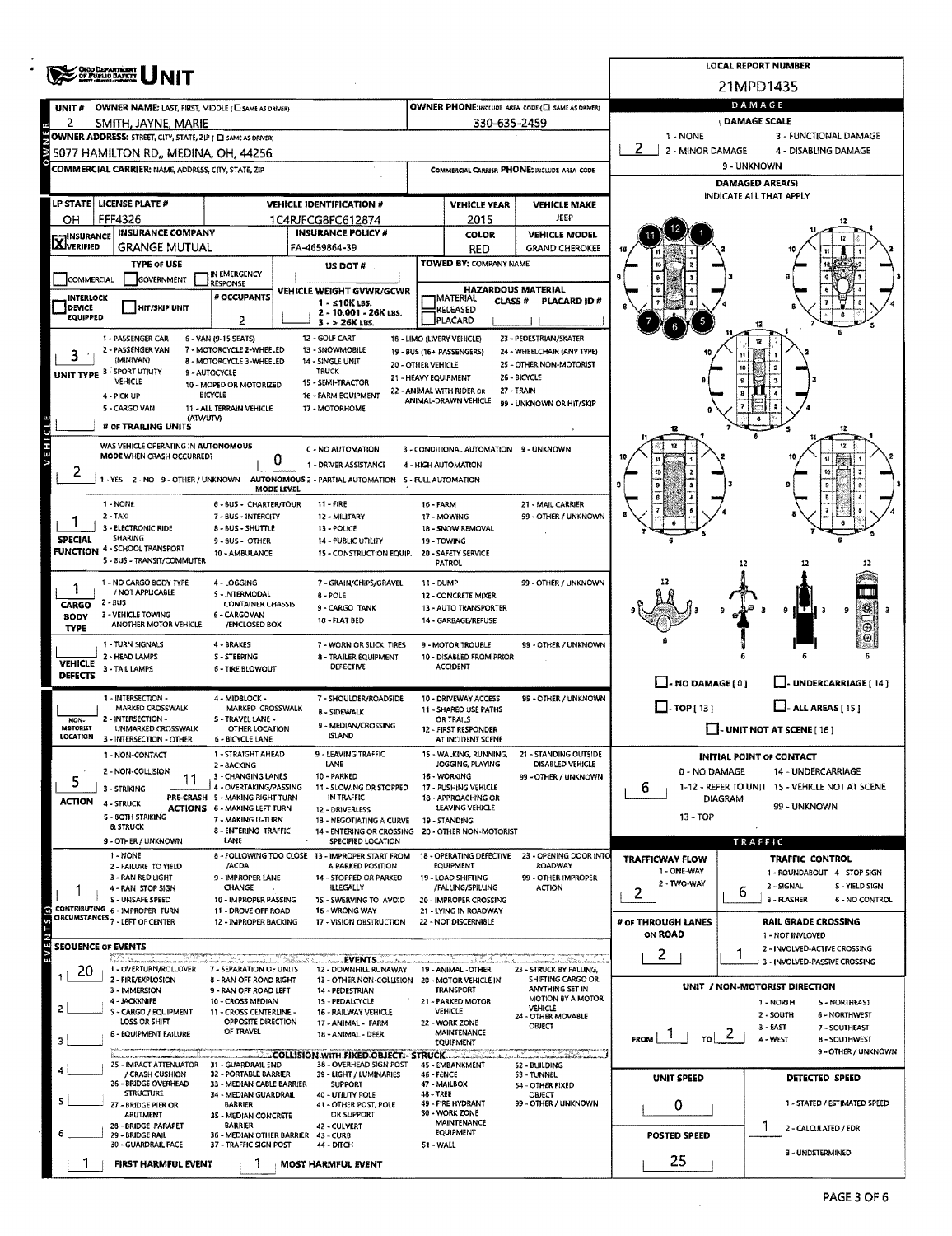|                            | <b>OHIO DEPARTMENT</b>                                                                                    |                                                           | <b>LOCAL REPORT NUMBER</b>                                                               |                                      |                                                   |                                                                  |                                                     |         |                                                               |  |  |  |
|----------------------------|-----------------------------------------------------------------------------------------------------------|-----------------------------------------------------------|------------------------------------------------------------------------------------------|--------------------------------------|---------------------------------------------------|------------------------------------------------------------------|-----------------------------------------------------|---------|---------------------------------------------------------------|--|--|--|
|                            |                                                                                                           |                                                           | 21MPD1435                                                                                |                                      |                                                   |                                                                  |                                                     |         |                                                               |  |  |  |
| UNIT#                      | OWNER PHONE:INCLUDE AREA CODE (C) SAME AS DRIVER!<br>OWNER NAME: LAST, FIRST, MIDDLE (CI SAME AS ORIVER)  |                                                           |                                                                                          |                                      |                                                   |                                                                  |                                                     |         | DAMAGE                                                        |  |  |  |
| 2                          | SMITH, JAYNE, MARIE                                                                                       |                                                           |                                                                                          |                                      | 330-635-2459                                      |                                                                  |                                                     |         | <b>DAMAGE SCALE</b>                                           |  |  |  |
|                            | OWNER ADDRESS: STREET, CITY, STATE, ZIP ( C) SAME AS DRIVERY                                              |                                                           |                                                                                          |                                      |                                                   |                                                                  | 1 - NONE<br>2 - MINOR DAMAGE                        |         | 3 - FUNCTIONAL DAMAGE<br>4 - DISABLING DAMAGE                 |  |  |  |
|                            | 5077 HAMILTON RD., MEDINA, OH, 44256                                                                      |                                                           | 9 - UNKNOWN                                                                              |                                      |                                                   |                                                                  |                                                     |         |                                                               |  |  |  |
|                            | <b>COMMERCIAL CARRIER: NAME, ADDRESS, CITY, STATE, ZIP</b><br>COMMERGIAL CARRIER PHONE: INCLUDE AREA CODE |                                                           |                                                                                          |                                      |                                                   |                                                                  |                                                     |         | <b>DAMAGED AREA(S)</b>                                        |  |  |  |
|                            | LP STATE   LICENSE PLATE #                                                                                |                                                           | <b>VEHICLE MAKE</b>                                                                      | INDICATE ALL THAT APPLY              |                                                   |                                                                  |                                                     |         |                                                               |  |  |  |
| он                         | FFF4326                                                                                                   |                                                           | <b>VEHICLE IDENTIFICATION #</b><br>1C4RJFCG8FC612874                                     |                                      | <b>VEHICLE YEAR</b><br>2015                       | JEEP                                                             |                                                     |         |                                                               |  |  |  |
| <b>X</b> INSURANCE         | <b>INSURANCE COMPANY</b>                                                                                  |                                                           | <b>INSURANCE POLICY #</b>                                                                | <b>VEHICLE MODEL</b><br><b>COLOR</b> |                                                   |                                                                  |                                                     |         |                                                               |  |  |  |
|                            | <b>GRANGE MUTUAL</b>                                                                                      |                                                           | FA-4659864-39                                                                            |                                      | <b>RED</b>                                        | <b>GRAND CHEROKEE</b>                                            |                                                     |         |                                                               |  |  |  |
|                            | <b>TYPE OF USE</b>                                                                                        | IN EMERGENCY                                              | US DOT #                                                                                 |                                      | TOWED BY: COMPANY NAME                            |                                                                  |                                                     |         |                                                               |  |  |  |
| <b>COMMERCIAL</b>          | <b>GOVERNMENT</b>                                                                                         | <b>RESPONSE</b>                                           | VEHICLE WEIGHT GVWR/GCWR                                                                 |                                      | <b>HAZARDOUS MATERIAL</b>                         |                                                                  |                                                     |         |                                                               |  |  |  |
| <b>INTERLOCK</b><br>DEVICE | <b>HIT/SKIP UNIT</b>                                                                                      | # OCCUPANTS                                               | 1 - ≤10K LBS.<br>2 - 10.001 - 26K LBS.                                                   |                                      | MATERIAL<br>CLASS #<br>RELEASED                   | PLACARD ID#                                                      |                                                     |         |                                                               |  |  |  |
| <b>EQUIPPED</b>            |                                                                                                           | 2                                                         | $3 - 26K$ LBS.                                                                           |                                      | PLACARD                                           |                                                                  |                                                     |         |                                                               |  |  |  |
|                            | 1 - PASSENGER CAR<br>2 - PASSENGER VAN                                                                    | 6 - VAN (9-15 SEATS)<br>7 - MOTORCYCLE 2-WHEELED          | 12 - GOLF CART<br>13 - SNOWMOBILE                                                        |                                      | 18 - LIMO (LIVERY VEHICLE)                        | 23 - PEOESTRIAN/SKATER                                           |                                                     |         |                                                               |  |  |  |
| 3                          | (MINIVAN)                                                                                                 | <b>8 - MOTORCYCLE 3-WHEELED</b>                           | 14 - SINGLE UNIT                                                                         | 20 - OTHER VEHICLE                   | 19 - BUS (16+ PASSENGERS)                         | 24 - WHEELCHAIR (ANY TYPE)<br>25 - OTHER NON-MOTORIST            |                                                     |         |                                                               |  |  |  |
|                            | <b>UNIT TYPE 3 - SPORT UTILITY</b><br>VEHICLE                                                             | 9 - AUTOCYCLE<br>10 - MOPED OR MOTORIZED                  | <b>TRUCK</b><br>15 - SEMI-TRACTOR                                                        | 21 - HEAVY EQUIPMENT                 |                                                   | 26 - BICYCLE                                                     |                                                     |         |                                                               |  |  |  |
|                            | 4 - PICK UP                                                                                               | <b>BICYCLE</b>                                            | 16 - FARM EQUIPMENT                                                                      |                                      | 22 - ANIMAL WITH RIDER OR<br>ANIMAL-DRAWN VEHICLE | 27 - TRAIN<br>99 - UNKNOWN OR HIT/SKIP                           |                                                     |         |                                                               |  |  |  |
|                            | 5 - CARGO VAN<br>(ATV/UTV)                                                                                | 11 - ALL TERRAIN VEHICLE                                  | 17 - MOTORHOME                                                                           |                                      |                                                   |                                                                  |                                                     |         |                                                               |  |  |  |
|                            | # OF TRAILING UNITS                                                                                       |                                                           |                                                                                          |                                      |                                                   |                                                                  |                                                     |         |                                                               |  |  |  |
| VEHICL                     | WAS VEHICLE OPERATING IN AUTONOMOUS<br>MODE WHEN CRASH OCCURRED?                                          |                                                           | 0 - NO AUTOMATION                                                                        |                                      | 3 - CONDITIONAL AUTOMATION 9 - UNKNOWN            |                                                                  |                                                     |         |                                                               |  |  |  |
| $\mathbf{z}$               |                                                                                                           | 0                                                         | 1 - DRIVER ASSISTANCE                                                                    |                                      | 4 - HIGH AUTOMATION                               |                                                                  |                                                     |         |                                                               |  |  |  |
|                            |                                                                                                           | MODE LEVEL                                                | 1 - YES 2 - NO 9 - OTHER / UNKNOWN AUTONOMOUS 2 - PARTIAL AUTOMATION 5 - FULL AUTOMATION |                                      |                                                   |                                                                  |                                                     |         |                                                               |  |  |  |
|                            | 1 - NONE                                                                                                  | 6 - BUS - CHARTER/TOUR                                    | $11 - FIRE$                                                                              | 16 - FARM                            |                                                   | 21 - MAIL CARRIER                                                |                                                     |         |                                                               |  |  |  |
|                            | $2 - TAXI$<br>3 - ELECTRONIC RIDE                                                                         | 7 - BUS - INTERCITY                                       | 12 - MILITARY                                                                            |                                      | 17 - MOWING                                       | 99 - OTHER / UNKNOWN                                             |                                                     |         |                                                               |  |  |  |
| <b>SPECIAL</b>             | SHARING                                                                                                   | <b>8-BUS-SHUTTLE</b><br>9 - BUS - OTHER                   | 13 - POLICE<br><b>14 - PUBLIC UTILITY</b>                                                |                                      | 18 - SNOW REMOVAL<br>19 - TOWING                  |                                                                  |                                                     |         |                                                               |  |  |  |
|                            | <b>FUNCTION 4 - SCHOOL TRANSPORT</b><br>5 - BUS - TRANSIT/COMMUTER                                        | 10 - AMBULANCE                                            | 15 - CONSTRUCTION EQUIP.                                                                 |                                      | 20 - SAFETY SERVICE<br>PATROL                     |                                                                  |                                                     |         |                                                               |  |  |  |
|                            |                                                                                                           |                                                           |                                                                                          |                                      |                                                   |                                                                  |                                                     | 12      |                                                               |  |  |  |
|                            | 1 - NO CARGO BODY TYPE<br>/ NOT APPLICABLE                                                                | 4 - LOGGING<br>5 - INTERMODAL                             | 7 - GRAIN/CHIPS/GRAVEL<br>8 - POLE                                                       | 11 - DUMP                            | 12 - CONCRETE MIXER                               | 99 - OTHER / UNKNOWN                                             |                                                     |         |                                                               |  |  |  |
| CARGO<br><b>BODY</b>       | 2 - BUS<br>3 - VEHICLE TOWING                                                                             | <b>CONTAINER CHASSIS</b><br>6 - CARGOVAN                  | 9 - CARGO TANK                                                                           |                                      | 13 - AUTO TRANSPORTER                             |                                                                  |                                                     |         | 9<br>9<br>ιτI                                                 |  |  |  |
| <b>TYPE</b>                | ANOTHER MOTOR VEHICLE                                                                                     | /ENCLOSED BOX                                             | 10 - FLAT BED                                                                            |                                      | 14 - GARBAGE/REFUSE                               |                                                                  |                                                     |         |                                                               |  |  |  |
|                            | 1 - TURN SIGNALS                                                                                          | 4 - BRAKES                                                | 7 - WORN OR SLICK TIRES                                                                  |                                      | 9 - MOTOR TROUBLE                                 | 99 - OTHER / UNKNOWN                                             |                                                     |         |                                                               |  |  |  |
| <b>VEHICLE</b>             | 2 - HEAD LAMPS<br>3 - TAIL LAMPS                                                                          | S - STEERING<br>6 - TIRE BLOWOUT                          | 8 - TRAILER EQUIPMENT<br>DEFECTIVE                                                       |                                      | 10 - DISABLED FROM PRIOR<br><b>ACCIDENT</b>       |                                                                  |                                                     |         |                                                               |  |  |  |
| <b>DEFECTS</b>             |                                                                                                           |                                                           |                                                                                          |                                      |                                                   |                                                                  | $\Box$ - NO DAMAGE [ 0 ]<br>J- UNDERCARRIAGE [ 14 ] |         |                                                               |  |  |  |
|                            | 1 - INTERSECTION -<br>MARKED CROSSWALK                                                                    | 4 - MIDSLOCK -<br>MARKED CROSSWALK                        | 7 - SHOULDER/ROADSIDE                                                                    |                                      | 10 - DRIVEWAY ACCESS<br>11 - SHARED USE PATHS     | 99 - OTHER / UNKNOWN                                             | $\Box$ -TOP[13]<br>$\Box$ - ALL AREAS [15]          |         |                                                               |  |  |  |
| NON-<br><b>MOTORIST</b>    | 2 - INTERSECTION -                                                                                        | S - TRAVEL LANE -                                         | 8 - SIDEWALK<br>9 - MEDIAN/CROSSING                                                      |                                      | OR TRAILS                                         |                                                                  |                                                     |         |                                                               |  |  |  |
| <b>LOCATION</b>            | UNMARKED CROSSWALK<br>3 - INTERSECTION - OTHER                                                            | <b>OTHER LOCATION</b><br>6 - BICYCLE LANE                 | <b>ISLAND</b>                                                                            |                                      | 12 - FIRST RESPONDER<br>AT INCIDENT SCENE         |                                                                  |                                                     |         | $\blacksquare$ - UNIT NOT AT SCENE [16]                       |  |  |  |
|                            | 1 - NON-CONTACT                                                                                           | 1 - STRAIGHT AHEAD                                        | 9 - LEAVING TRAFFIC<br>LANE                                                              |                                      | JOGGING, PLAYING                                  | 15 - WALKING, RUNNING, 21 - STANDING OUTSIDE<br>DISABLED VEHICLE |                                                     |         | <b>INITIAL POINT OF CONTACT</b>                               |  |  |  |
| 5                          | 2 - NON-COLLISION                                                                                         | 2 - BACKING<br>3 - CHANGING LANES                         | 10 - PARKED                                                                              |                                      | 16 - WORKING                                      | 99 - OTHER / UNKNOWN                                             | 0 - NO DAMAGE                                       |         | 14 - UNDERCARRIAGE                                            |  |  |  |
|                            | 3 - STRIKING                                                                                              | 4 - OVERTAKING/PASSING<br>PRE-CRASH 5 - MAKING RIGHT TURN | 11 - SLOWING OR STOPPED<br>IN TRAFFIC                                                    |                                      | 17 - PUSHING VEHICLE<br>18 - APPROACHING OR       |                                                                  | 6                                                   | DIAGRAM | 1-12 - REFER TO UNIT 15 - VEHICLE NOT AT SCENE                |  |  |  |
| <b>ACTION</b>              | 4 - STRUCK<br>5 - BOTH STRIKING                                                                           | <b>ACTIONS 6 - MAKING LEFT TURN</b>                       | 12 - DRIVERLESS                                                                          |                                      | <b>LEAVING VEHICLE</b>                            |                                                                  | $13 - TOP$                                          |         | 99 - UNKNOWN                                                  |  |  |  |
|                            | <b>&amp; STRUCK</b>                                                                                       | 7 - MAKING U-TURN<br>8 - ENTERING TRAFFIC                 | 13 - NEGOTIATING A CURVE<br>14 - ENTERING OR CROSSING                                    |                                      | 19 - STANDING<br>20 - OTHER NON-MOTORIST          |                                                                  |                                                     |         |                                                               |  |  |  |
|                            | 9 - OTHER / UNKNOWN                                                                                       | LANE                                                      | SPECIFIED LOCATION                                                                       |                                      |                                                   |                                                                  |                                                     |         | TRAFFIC                                                       |  |  |  |
|                            | 1 - NONE<br>2 - FAILURE TO YIELD                                                                          | /ACDA                                                     | 8 - FOLLOWING TOO CLOSE 13 - IMPROPER START FROM<br>A PARKED POSITION                    |                                      | 18 - OPERATING DEFECTIVE<br>EQUIPMENT             | 23 - OPENING DOOR INTO<br><b>ROADWAY</b>                         | <b>TRAFFICWAY FLOW</b><br>1 - ONE-WAY               |         | <b>TRAFFIC CONTROL</b><br>1 - ROUNDABOUT 4 - STOP SIGN        |  |  |  |
|                            | 3 - RAN RED LIGHT<br>4 - RAN STOP SIGN                                                                    | 9 - IMPROPER LANE<br><b>CHANGE</b>                        | 14 - STOPPED OR PARKED<br>ILLEGALLY                                                      |                                      | 19 - LOAD SHIFTING<br>/FALLING/SPILLING           | 99 - OTHER IMPROPER<br><b>ACTION</b>                             | 2 - TWO-WAY                                         |         | 2 - SIGNAL<br>S - YIELD SIGN                                  |  |  |  |
|                            | S - UNSAFE SPEED                                                                                          | 10 - IMPROPER PASSING                                     | 1S - SWERVING TO AVOID                                                                   |                                      | 20 - IMPROPER CROSSING                            |                                                                  | 2                                                   | 6       | 3 - FLASHER<br>6 - NO CONTROL                                 |  |  |  |
|                            | CONTRIBUTING 6 - IMPROPER TURN<br>CIRCUMSTANCES 7 - LEFT OF CENTER                                        | 11 - DROVE OFF ROAD<br>12 - IMPROPER BACKING              | 16 - WRONG WAY<br>17 - VISION OBSTRUCTION                                                |                                      | 21 - LYING IN ROADWAY<br>22 - NOT DISCERNIBLE     |                                                                  | # OF THROUGH LANES                                  |         | <b>RAIL GRADE CROSSING</b>                                    |  |  |  |
| EVENTS(s)                  |                                                                                                           |                                                           |                                                                                          |                                      |                                                   |                                                                  | ON ROAD                                             |         | 1 - NOT INVLOVED                                              |  |  |  |
| <b>SEOUENCE OF EVENTS</b>  | 757                                                                                                       |                                                           |                                                                                          |                                      |                                                   |                                                                  | $2 \quad$                                           | 1       | 2 - INVOLVED-ACTIVE CROSSING<br>3 - INVOLVED-PASSIVE CROSSING |  |  |  |
| 20                         | 1 - OVERTURN/ROLLOVER<br>2 - FIRE/EXPLOSION                                                               | 7 - SEPARATION OF UNITS<br>8 - RAN OFF ROAD RIGHT         | 12 - DOWNHILL RUNAWAY<br>13 - OTHER NON-COLLISION 20 - MOTOR VEHICLE IN                  |                                      | 19 - ANIMAL -OTHER                                | 23 - STRUCK BY FALLING,<br>SHIFTING CARGO OR                     |                                                     |         |                                                               |  |  |  |
|                            | 3 - IMMERSION                                                                                             | 9 - RAN OFF ROAD LEFT                                     | 14 - PEDESTRIAN                                                                          |                                      | TRANSPORT                                         | ANYTHING SET IN<br>MOTION BY A MOTOR                             |                                                     |         | UNIT / NON-MOTORIST DIRECTION                                 |  |  |  |
| 2                          | 4 - JACKKNIFE<br>S - CARGO / EQUIPMENT                                                                    | 10 - CROSS MEDIAN<br>11 - CROSS CENTERLINE -              | 15 - PEDALCYCLE<br><b>16 - RAILWAY VEHICLE</b>                                           |                                      | 21 - PARKED MOTOR<br><b>VEHICLE</b>               | VEHICLE<br>24 - OTHER MOVABLE                                    |                                                     |         | 1 - NORTH<br>5 - NORTHEAST<br>2 - SOUTH<br>6 - NORTHWEST      |  |  |  |
|                            | LOSS OR SHIFT<br><b>6 - EQUIPMENT FAILURE</b>                                                             | OPPOSITE DIRECTION<br>OF TRAVEL                           | 17 - ANIMAL - FARM<br>18 - ANIMAL - DEER                                                 |                                      | 22 - WORK ZONE<br>MAINTENANCE                     | OBJECT                                                           |                                                     |         | 3 - EAST<br>7 - SOUTHEAST                                     |  |  |  |
| 3.                         |                                                                                                           |                                                           |                                                                                          |                                      | EQUIPMENT                                         |                                                                  | $\mathbf{I}$<br>$\sim$ $\sim$<br>FROM               |         | 4 - WEST<br><b>8 - SOUTHWEST</b><br>9 - OTHER / UNKNOWN       |  |  |  |
|                            | 25 - IMPACT ATTENUATOR 31 - GUARDRAIL END                                                                 |                                                           | COLLISION WITH FIXED OBJECT. - STRUCK<br>38 - OVERHEAD 5IGN POST                         |                                      | 45 - EMBANKMENT                                   | an an Dùbhlan.<br>Tachartasan<br>52 - BUILDING                   |                                                     |         |                                                               |  |  |  |
|                            | / CRASH CUSHION<br>26 - BRIDGE OVERHEAD                                                                   | 32 - PORTABLE BARRIER<br>33 - MEDIAN CABLE BARRIER        | 39 - LIGHT / LUMINARIES<br><b>SUPPORT</b>                                                | 46 - FENCE                           | 47 - MAILBOX                                      | 53 - TUNNEL<br>54 - OTHER FIXED                                  | <b>UNIT SPEED</b>                                   |         | <b>DETECTED SPEED</b>                                         |  |  |  |
| 5                          | <b>STRUCTURE</b>                                                                                          | 34 - MEDIAN GUARDRAIL<br><b>BARRIER</b>                   | 40 - UTILITY POLE<br>41 - OTHER POST, POLE                                               | 48 - TREE                            | 49 - FIRE HYDRANT                                 | OBJECT<br>99 - OTHER / UNKNOWN                                   |                                                     |         | 1 - STATED / ESTIMATED SPEED                                  |  |  |  |
|                            | 27 - BRIDGE PIER OR<br>ABUTMENT                                                                           | 35 - MEDIAN CONCRETE                                      | OR SUPPORT                                                                               |                                      | <b>S0 - WORK ZONE</b>                             |                                                                  | 0                                                   |         |                                                               |  |  |  |
| 6                          | 28 - BRIDGE PARAPET<br>29 - BRIDGE RAIL                                                                   | <b>BARRIER</b><br>36 - MEDIAN OTHER BARRIER 43 - CURB     | 42 - CULVERT                                                                             |                                      | MAINTENANCE<br><b>EQUIPMENT</b>                   |                                                                  | <b>POSTED SPEED</b>                                 |         | 2 - CALCULATED / EDR                                          |  |  |  |
|                            | 30 - GUARDRAIL FACE                                                                                       | 37 - TRAFFIC SIGN POST                                    | 44 - ОПСН                                                                                | 51 - WALL                            |                                                   |                                                                  |                                                     |         | 3 - UNDETERMINED                                              |  |  |  |
|                            | FIRST HARMFUL EVENT                                                                                       |                                                           | <b>MOST HARMFUL EVENT</b>                                                                |                                      |                                                   |                                                                  | 25                                                  |         |                                                               |  |  |  |

 $\bar{\gamma}$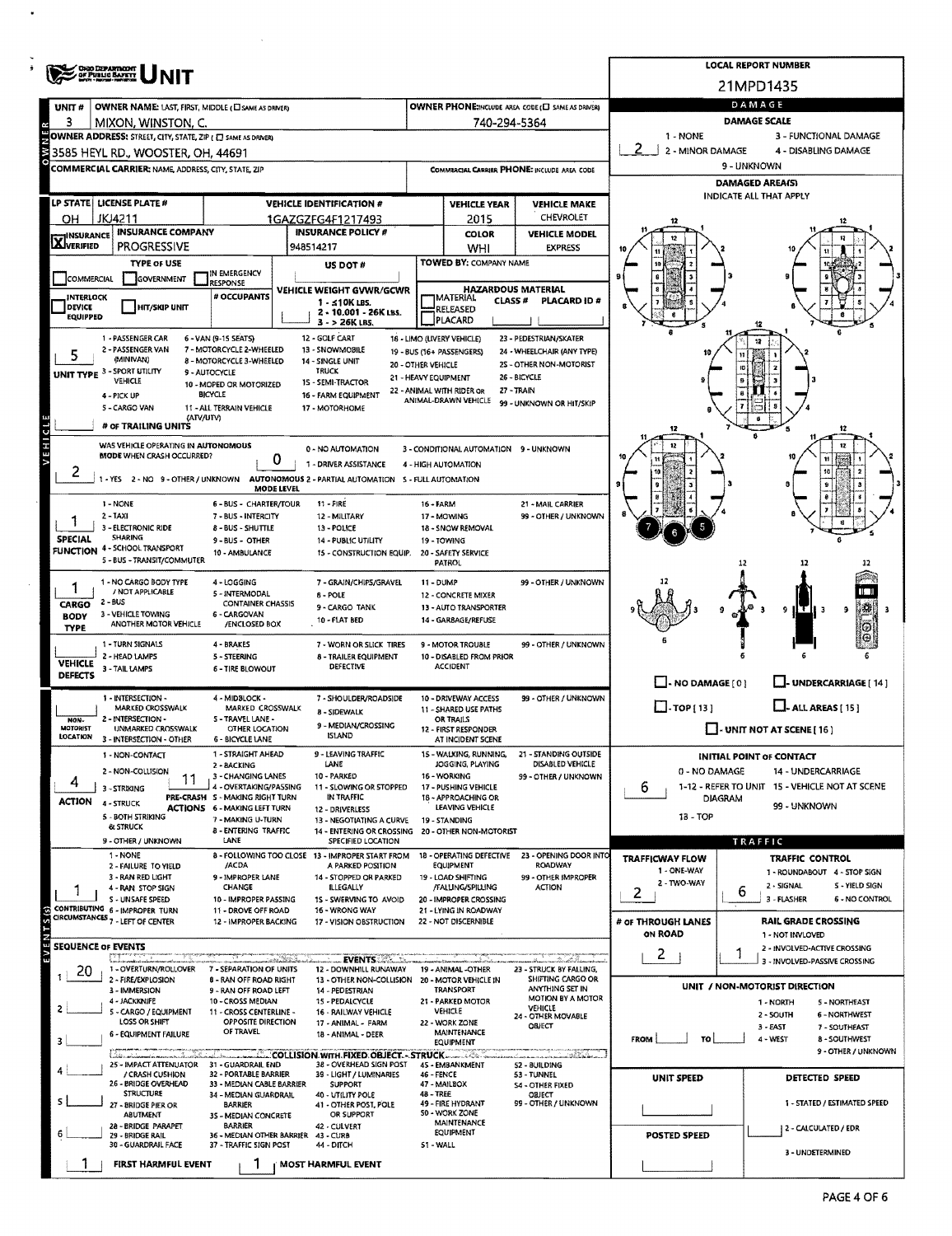|                                   | <b>ONO DEPARTMENT</b>                                                         |                                                           |                                                                                          |                                            |                                               |                                           |                                          | <b>LOCAL REPORT NUMBER</b>                                |  |  |  |  |
|-----------------------------------|-------------------------------------------------------------------------------|-----------------------------------------------------------|------------------------------------------------------------------------------------------|--------------------------------------------|-----------------------------------------------|-------------------------------------------|------------------------------------------|-----------------------------------------------------------|--|--|--|--|
|                                   |                                                                               |                                                           |                                                                                          |                                            |                                               |                                           |                                          | 21MPD1435                                                 |  |  |  |  |
| <b>UNIT#</b>                      | OWNER NAME: LAST, FIRST, MIDDLE (LI SAME AS DRIVER)                           |                                                           | DAMAGE                                                                                   |                                            |                                               |                                           |                                          |                                                           |  |  |  |  |
| 3                                 | MIXON, WINSTON, C.                                                            |                                                           |                                                                                          |                                            | 740-294-5364                                  |                                           |                                          | <b>DAMAGE SCALE</b>                                       |  |  |  |  |
|                                   | OWNER ADDRESS: STREET, CITY, STATE, ZIP ( E) SAME AS DRIVER)                  |                                                           |                                                                                          |                                            |                                               |                                           | 1 - NONE                                 | 3 - FUNCTIONAL DAMAGE                                     |  |  |  |  |
| 3                                 | 3585 HEYL RD., WOOSTER, OH, 44691                                             |                                                           |                                                                                          |                                            |                                               |                                           | 2 - MINOR DAMAGE<br>4 - DISABLING DAMAGE |                                                           |  |  |  |  |
|                                   | <b>COMMERCIAL CARRIER: NAME ADDRESS, CITY, STATE, ZIP</b>                     |                                                           | 9 - UNKNOWN                                                                              |                                            |                                               |                                           |                                          |                                                           |  |  |  |  |
|                                   |                                                                               |                                                           | <b>DAMAGED AREA(S)</b><br>INDICATE ALL THAT APPLY                                        |                                            |                                               |                                           |                                          |                                                           |  |  |  |  |
|                                   | LP STATE   LICENSE PLATE #<br>JKJ4211                                         |                                                           | <b>VEHICLE IDENTIFICATION #</b>                                                          |                                            | <b>VEHICLE YEAR</b>                           | <b>VEHICLE MAKE</b><br>CHEVROLET          |                                          |                                                           |  |  |  |  |
| OН                                | <b>INSURANCE COMPANY</b>                                                      |                                                           | 1GAZGZFG4F1217493<br><b>INSURANCE POLICY #</b>                                           |                                            | 2015<br><b>COLOR</b>                          | <b>VEHICLE MODEL</b>                      |                                          |                                                           |  |  |  |  |
| <b>X</b> INSURANCE                | <b>PROGRESSIVE</b>                                                            |                                                           | 948514217                                                                                |                                            | WHI                                           | <b>EXPRESS</b>                            |                                          |                                                           |  |  |  |  |
|                                   | <b>TYPE OF USE</b>                                                            |                                                           | US DOT#                                                                                  |                                            | TOWED BY: COMPANY NAME                        |                                           |                                          |                                                           |  |  |  |  |
| <b>COMMERCIAL</b>                 | GOVERNMENT                                                                    | IN EMERGENCY<br><b>RESPONSE</b>                           |                                                                                          |                                            | <b>HAZARDOUS MATERIAL</b>                     |                                           | я                                        |                                                           |  |  |  |  |
| <b>INTERLOCK</b><br><b>DEVICE</b> | HIT/SKIP UNIT                                                                 | # OCCUPANTS                                               | VEHICLE WEIGHT GVWR/GCWR<br>1 - ≤10K LBS.                                                |                                            | MATERIAL<br>CLASS #                           | PLACARD ID #                              |                                          |                                                           |  |  |  |  |
| <b>EQUIPPED</b>                   |                                                                               |                                                           | 2 - 10.001 - 26K LBS.<br>3 - > 26K LBS.                                                  |                                            | RELEASED<br>PLACARD                           |                                           |                                          |                                                           |  |  |  |  |
|                                   | 1 - PASSENGER CAR                                                             | 6 - VAN (9-15 SEATS)                                      | 12 - GOLF CART                                                                           |                                            | 18 - LIMO (LIVERY VEHICLE)                    | 23 - PEDESTRIAN/SKATER                    |                                          |                                                           |  |  |  |  |
|                                   | 2 - PASSENGER VAN<br>(MINIVAN)                                                | 7 - MOTORCYCLE 2-WHEELED<br>8 - MOTORCYCLE 3-WHEELED      | 13 - SNOWMOBILE                                                                          |                                            | 19 - BUS (16+ PASSENGERS)                     | 24 - WHEELCHAIR (ANY TYPE)                |                                          |                                                           |  |  |  |  |
|                                   | UNIT TYPE 3 - SPORT UTILITY                                                   | 9 - AUTOCYCLE                                             | 14 - SINGLE UNIT<br><b>TRUCK</b>                                                         | 20 - OTHER VEHICLE<br>21 - HEAVY EQUIPMENT |                                               | 2S - OTHER NON-MOTORIST<br>26 - BICYCLE   |                                          |                                                           |  |  |  |  |
|                                   | <b>VEHICLE</b><br>4 - PICK UP                                                 | 10 - MOPED OR MOTORIZED<br><b>BICYCLE</b>                 | 15 - SEMI-TRACTOR<br>16 - FARM EQUIPMENT                                                 |                                            | 22 - ANIMAL WITH RIDER OR                     | 27 - TRAIN                                |                                          |                                                           |  |  |  |  |
|                                   | 5 - CARGO VAN                                                                 | 11 - ALL TERRAIN VEHICLE                                  | 17 - MOTORHOME                                                                           |                                            | ANIMAL-DRAWN VEHICLE                          | 99 - UNKNOWN OR HIT/SKIP                  |                                          |                                                           |  |  |  |  |
|                                   | (ATV/UTV)<br># OF TRAILING UNITS                                              |                                                           |                                                                                          |                                            |                                               |                                           |                                          | 12                                                        |  |  |  |  |
| VEHICL                            | WAS VEHICLE OPERATING IN AUTONOMOUS                                           |                                                           | 0 - NO AUTOMATION                                                                        |                                            | 3 - CONDITIONAL AUTOMATION 9 - UNKNOWN        |                                           |                                          |                                                           |  |  |  |  |
|                                   | MODE WHEN CRASH OCCURRED?                                                     | 0                                                         | 1 - DRIVER ASSISTANCE                                                                    |                                            | 4 - HIGH AUTOMATION                           |                                           |                                          |                                                           |  |  |  |  |
| ۷                                 |                                                                               |                                                           | 1 - YES 2 - NO 9 - OTHER / UNKNOWN AUTONOMOUS 2 - PARTIAL AUTOMATION 5 - FULL AUTOMATION |                                            |                                               |                                           |                                          |                                                           |  |  |  |  |
|                                   |                                                                               | MODE LEVEL                                                |                                                                                          |                                            |                                               |                                           |                                          |                                                           |  |  |  |  |
|                                   | 1 - NONE<br>$2 - TAXI$                                                        | 6 - BUS - CHARTER/TOUR<br>7 - BUS - INTERCITY             | $11 - FIRE$<br>12 - MILITARY                                                             | $16 - FARN$                                | 17 - MOWING                                   | 21 - MAIL CARRIER<br>99 - OTHER / UNKNOWN |                                          |                                                           |  |  |  |  |
|                                   | 3 - ELECTRONIC RIDE                                                           | 8 - BUS - SHUTTLE                                         | 13 - POLICE                                                                              |                                            | 18 - SNOW REMOVAL                             |                                           |                                          |                                                           |  |  |  |  |
| <b>SPECIAL</b>                    | SHARING<br>FUNCTION 4 - SCHOOL TRANSPORT                                      | 9 - BUS - OTHER<br>10 - AMBULANCE                         | <b>14 - PUBLIC UTILITY</b><br>15 - CONSTRUCTION EQUIP.                                   |                                            | 19 - TOWING<br>20 - SAFETY SERVICE            |                                           |                                          |                                                           |  |  |  |  |
|                                   | 5 - BUS - TRANSIT/COMMUTER                                                    |                                                           |                                                                                          |                                            | <b>PATROL</b>                                 |                                           |                                          | 12<br>12                                                  |  |  |  |  |
|                                   | 1 - NO CARGO BODY TYPE                                                        | 4-LOGGING                                                 | 7 - GRAIN/CHIPS/GRAVEL                                                                   | 11 - DUMP                                  |                                               | 99 - OTHER / UNKNOWN                      |                                          |                                                           |  |  |  |  |
| CARGO                             | / NOT APPLICABLE<br>$2 - BUS$                                                 | 5 - INTERMODAL<br><b>CONTAINER CHASSIS</b>                | <b>B-POLE</b>                                                                            |                                            | 12 - CONCRETE MIXER                           |                                           |                                          |                                                           |  |  |  |  |
| <b>BODY</b>                       | 3 - VEHICLE TOWING<br>ANOTHER MOTOR VEHICLE                                   | 6 - CARGOVAN<br>/ENCLOSED BOX                             | 9 - CARGO TANK<br>10 - FLAT BED                                                          |                                            | 13 - AUTO TRANSPORTER<br>14 - GARBAGE/REFUSE  |                                           |                                          | मारा<br>۹                                                 |  |  |  |  |
| <b>TYPE</b>                       |                                                                               |                                                           |                                                                                          |                                            |                                               |                                           |                                          |                                                           |  |  |  |  |
|                                   | 1 - TURN SIGNALS<br>2 - HEAD LAMPS                                            | 4 - BRAKES<br>5 - STEERING                                | 7 - WORN OR SLICK TIRES<br><b>8 - TRAILER EQUIPMENT</b>                                  |                                            | 9 - MOTOR TROUBLE<br>10 - DISABLED FROM PRIOR | 99 - OTHER / UNKNOWN                      |                                          |                                                           |  |  |  |  |
| <b>VEHICLE</b><br><b>DEFECTS</b>  | 3 - TAIL LAMPS                                                                | 6 - TIRE BLOWOUT                                          | <b>DEFECTIVE</b>                                                                         |                                            | ACCIDENT                                      |                                           |                                          |                                                           |  |  |  |  |
|                                   |                                                                               |                                                           |                                                                                          |                                            |                                               |                                           | $\Box$ - NO DAMAGE [ 0 ]                 | U-UNDERCARRIAGE [ 14 ]                                    |  |  |  |  |
|                                   | 1 - INTERSECTION -<br>MARKED CROSSWALK                                        | 4 - MIDBLOCK -<br>MARKED CROSSWALK                        | 7 - SHOULDER/ROADSIDE<br><b>8 - SIDEWALK</b>                                             |                                            | 10 - DRIVEWAY ACCESS<br>11 - SHARED USE PATHS | 99 - OTHER / UNKNOWN                      | $\Box$ -TOP[13]                          | $L$ - ALL AREAS [ 15 ]                                    |  |  |  |  |
| NON-<br><b>MOTORIST</b>           | 2 - INTERSECTION -<br>UNMARKED CROSSWALK                                      | <b>S-TRAVEL LANE-</b><br>OTHER LOCATION                   | 9 - MEDIAN/CROSSING                                                                      |                                            | OR TRAILS<br>12 - FIRST RESPONDER             |                                           |                                          | - UNIT NOT AT SCENE [ 16 ]                                |  |  |  |  |
| LOCATION                          | 3 - INTERSECTION - OTHER                                                      | 6 - BICYCLE LANE                                          | <b>ISLAND</b>                                                                            |                                            | AT INCIDENT SCENE                             |                                           |                                          |                                                           |  |  |  |  |
|                                   | 1 - NON-CONTACT                                                               | 1 - STRAIGHT AHEAD<br>2 - BACKING                         | <b>9-I FAVING TRAFFIC</b><br>LANE                                                        |                                            | 15 - WALKING, RUNNING,<br>JOGGING, PLAYING    | 21 - STANDING OUTSIDE<br>DISABLED VEHICLE |                                          | INITIAL POINT OF CONTACT                                  |  |  |  |  |
| 4                                 | 2 - NON-COLLISION                                                             | 3 - CHANGING LANES                                        | 10 - PARKED                                                                              |                                            | 16 - WORKING                                  | 99 - OTHER / UNKNOWN                      | 0 - NO DAMAGE                            | 14 - UNDERCARRIAGE                                        |  |  |  |  |
|                                   | 3 - STRIKING                                                                  | 4 - OVERTAKING/PASSING<br>PRE-CRASH S - MAKING RIGHT TURN | 11 - SLOWING OR STOPPED<br>IN TRAFFIC                                                    |                                            | 17 - PUSHING VEHICLE<br>18 - APPROACHING OR   |                                           | 6                                        | 1-12 - REFER TO UNIT 15 - VEHICLE NOT AT SCENE<br>DIAGRAM |  |  |  |  |
| ACTION                            | 4 - STRUCK<br>5 - BOTH STRIKING                                               | <b>ACTIONS 6 - MAKING LEFT TURN</b>                       | 12 - DRIVERLESS                                                                          |                                            | LEAVING VEHICLE                               |                                           | 13 - TOP                                 | 99 - UNKNOWN                                              |  |  |  |  |
|                                   | <b>&amp; STRUCK</b>                                                           | 7 - MAKING U-TURN<br><b>8 - ENTERING TRAFFIC</b>          | 13 - NEGOTIATING A CURVE<br>14 - ENTERING OR CROSSING                                    |                                            | 19 - STANDING<br>20 - OTHER NON-MOTORIST      |                                           |                                          |                                                           |  |  |  |  |
|                                   | 9 - OTHER / UNKNOWN                                                           | LANE                                                      | SPECIFIED LOCATION                                                                       |                                            |                                               |                                           |                                          | TRAFFIC                                                   |  |  |  |  |
|                                   | 1 - NONE<br>2 - FAILURE TO YIELD                                              | /ACDA                                                     | 8 - FOLLOWING TOO CLOSE 13 - IMPROPER START FROM<br>A PARKED POSITION                    |                                            | 18 - OPERATING DEFECTIVE<br><b>EQUIPMENT</b>  | 23 - OPENING DOOR INTO<br>ROADWAY         | <b>TRAFFICWAY FLOW</b><br>1 - ONE-WAY    | <b>TRAFFIC CONTROL</b><br>1 - ROUNDABOUT 4 - STOP SIGN    |  |  |  |  |
|                                   | 3 - RAN RED LIGHT<br>4 - RAN STOP SIGN                                        | 9 - IMPROPER LANE<br>CHANGE                               | 14 - STOPPED OR PARKED<br><b>ILLEGALLY</b>                                               |                                            | 19 - LOAD SHIFTING<br>/FALLING/5PILLING       | 99 - OTHER IMPROPER<br><b>ACTION</b>      | 2 - TWO-WAY                              | 2 - SIGNAL<br>S - YIELD SIGN                              |  |  |  |  |
|                                   | S - UNSAFE SPEED                                                              | 10 - IMPROPER PASSING                                     | 15 - SWERVING TO AVOID                                                                   |                                            | 20 - IMPROPER CROSSING                        |                                           | 2                                        | 6<br>3 - FLASHER<br>6 - NO CONTROL                        |  |  |  |  |
|                                   | CONTRIBUTING 6 - IMPROPER TURN<br>CIRCUMSTANCES <sub>7</sub> - LEFT OF CENTER | 11 - DROVE OFF ROAD<br>12 - IMPROPER BACKING              | 16 - WRONG WAY<br>17 - VISION OBSTRUCTION                                                |                                            | 21 - LYING IN ROADWAY<br>22 - NOT DISCERNIBLE |                                           | # OF THROUGH LANES                       | <b>RAIL GRADE CROSSING</b>                                |  |  |  |  |
| EVENTS(s)                         |                                                                               |                                                           |                                                                                          |                                            |                                               |                                           | <b>ON ROAD</b>                           | 1 - NOT INVLOVED                                          |  |  |  |  |
| <b>SEQUENCE OF EVENTS</b>         |                                                                               |                                                           | <b>EVENTS</b>                                                                            |                                            |                                               |                                           | $\mathbf{2}$                             | 2 - INVOLVED-ACTIVE CROSSING<br>1                         |  |  |  |  |
| 20                                | 1 - OVERTURN/ROLLOVER                                                         | 7 - SEPARATION OF UNITS                                   | 12 - DOWNHILL RUNAWAY                                                                    |                                            | 19 - ANIMAL -OTHER                            | 23 - STRUCK BY FALLING,                   |                                          | 3 - INVOLVED-PASSIVE CROSSING                             |  |  |  |  |
|                                   | 2 - FIRE/EXPLOSION<br>3 - IMMERSION                                           | <b>8 - RAN OFF ROAD RIGHT</b><br>9 - RAN OFF ROAD LEFT    | 13 - OTHER NON-COLLISION<br>14 - PEDESTRIAN                                              |                                            | 20 - MOTOR VEHICLE IN<br><b>TRANSPORT</b>     | SHIFTING CARGO OR<br>ANYTHING SET IN      |                                          | UNIT / NON-MOTORIST DIRECTION                             |  |  |  |  |
|                                   | 4 - JACKKNIFE<br>5 - CARGO / EQUIPMENT                                        | 10 - CROSS MEDIAN<br>11 - CROSS CENTERLINE -              | 15 - PEDALCYCLE<br>16 - RAILWAY VEHICLE                                                  |                                            | 21 - PARKED MOTOR<br>VEHICLE                  | <b>MOTION BY A MOTOR</b><br>VEHICLE       |                                          | 1 - NORTH<br>5 - NORTHEAST                                |  |  |  |  |
|                                   | LOSS OR SHIFT                                                                 | OPPOSITE DIRECTION                                        | 17 - ANIMAL - FARM                                                                       |                                            | 22 - WORK ZONE                                | 24 - OTHER MOVABLE<br><b>OBJECT</b>       |                                          | 6 - NORTHWEST<br>2 - SOUTH<br>3 - EAST<br>7 - SOUTHEAST   |  |  |  |  |
|                                   | 6 - EQUIPMENT FAILURE                                                         | OF TRAVEL                                                 | 18 - ANIMAL - DEER                                                                       |                                            | <b>MAINTENANCE</b><br><b>EQUIPMENT</b>        |                                           | FROM<br>TO                               | 4 - WEST<br><b>8 - SOUTHWEST</b>                          |  |  |  |  |
|                                   | annan maria a Sa<br>25 - IMPACT ATTENUATOR 31 - GUARDRAIL END                 |                                                           | 38 - OVERHEAD SIGN POST                                                                  |                                            | 45 - EMBANKMENT                               | 52 - BUILDING                             |                                          | 9 - OTHER / UNKNOWN                                       |  |  |  |  |
|                                   | / CRASH CUSHION                                                               | 32 - PORTABLE BARRIER                                     | 39 - LIGHT / LUMINARIES                                                                  | 46 - FENCE                                 |                                               | 53 - TUNNEL                               | UNIT SPEED                               | DETECTED SPEED                                            |  |  |  |  |
|                                   | 26 - BRIDGE OVERHEAD<br><b>STRUCTURE</b>                                      | 33 - MEDIAN CABLE BARRIER<br>34 - MEDIAN GUARDRAIL        | <b>SUPPORT</b><br>40 - UTILITY POLE                                                      | 48 - TREE                                  | 47 - MAILBOX                                  | <b>S4 - OTHER FIXED</b><br><b>OBJECT</b>  |                                          |                                                           |  |  |  |  |
|                                   | 27 - BRIDGE PIER OR<br>ABUTMENT                                               | BARRIER<br>35 - MEDIAN CONCRETE                           | 41 - OTHER POST, POLE<br>OR SUPPORT                                                      |                                            | 49 - FIRE HYDRANT<br>50 - WORK ZONE           | 99 - OTHER / UNKNOWN                      |                                          | 1 - STATED / ESTIMATED SPEED                              |  |  |  |  |
|                                   | 28 - BRIDGE PARAPET<br>29 - BRIDGE RAIL                                       | <b>BARRIER</b><br>36 - MEDIAN OTHER BARRIER 43 - CURB     | 42 - CULVERT                                                                             |                                            | MAINTENANCE<br>EQUIPMENT                      |                                           | <b>POSTED SPEED</b>                      | 2 - CALCULATED / EDR                                      |  |  |  |  |
|                                   | 30 - GUARDRAIL FACE                                                           | 37 - TRAFFIC SIGN POST                                    | 44 - DITCH                                                                               | 51 - WALL                                  |                                               |                                           |                                          | 3 - UNDETERMINED                                          |  |  |  |  |
|                                   | FIRST HARMFUL EVENT                                                           |                                                           | <b>MOST HARMFUL EVENT</b>                                                                |                                            |                                               |                                           |                                          |                                                           |  |  |  |  |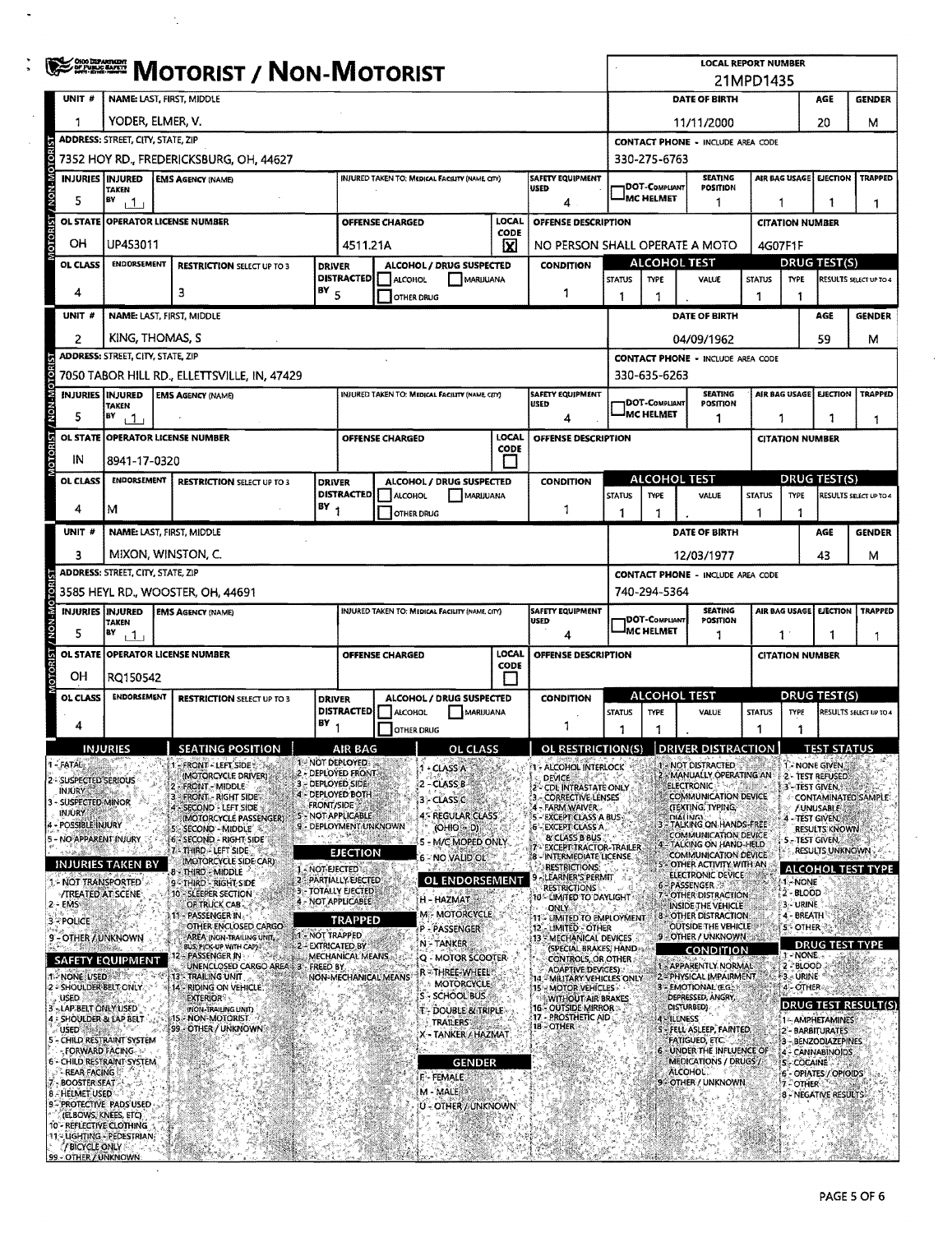|                                                        | <b>SERGE MOTORIST / NON-MOTORIST</b>                                                                                                                              |                                                                |                                          |                                                  |                        |                                                 |                    |                                                                    |                                                                                                                           | <b>LOCAL REPORT NUMBER</b><br>21MPD1435 |                                                                          |                                                     |                         |                                            |                               |  |
|--------------------------------------------------------|-------------------------------------------------------------------------------------------------------------------------------------------------------------------|----------------------------------------------------------------|------------------------------------------|--------------------------------------------------|------------------------|-------------------------------------------------|--------------------|--------------------------------------------------------------------|---------------------------------------------------------------------------------------------------------------------------|-----------------------------------------|--------------------------------------------------------------------------|-----------------------------------------------------|-------------------------|--------------------------------------------|-------------------------------|--|
| UNIT #                                                 |                                                                                                                                                                   | NAME: LAST, FIRST, MIDDLE                                      |                                          | DATE OF BIRTH<br>AGE<br><b>GENDER</b>            |                        |                                                 |                    |                                                                    |                                                                                                                           |                                         |                                                                          |                                                     |                         |                                            |                               |  |
| 1                                                      |                                                                                                                                                                   | YODER, ELMER, V.                                               | 20<br>11/11/2000                         |                                                  |                        |                                                 |                    |                                                                    | м                                                                                                                         |                                         |                                                                          |                                                     |                         |                                            |                               |  |
|                                                        | <b>ADDRESS: STREET, CITY, STATE, ZIP</b>                                                                                                                          |                                                                | <b>CONTACT PHONE - INCLUDE AREA CODE</b> |                                                  |                        |                                                 |                    |                                                                    |                                                                                                                           |                                         |                                                                          |                                                     |                         |                                            |                               |  |
|                                                        |                                                                                                                                                                   | 7352 HOY RD., FREDERICKSBURG, OH, 44627                        |                                          | 330-275-6763                                     |                        |                                                 |                    |                                                                    |                                                                                                                           |                                         |                                                                          |                                                     |                         |                                            |                               |  |
|                                                        | <b>INJURIES   INJURED</b><br><b>SAFETY EQUIPMENT</b><br><b>EMS AGENCY (NAME)</b><br>INJURED TAKEN TO: MEDICAL FACILITY (NAME CITY)<br><b>USED</b><br><b>TAKEN</b> |                                                                |                                          |                                                  |                        |                                                 |                    |                                                                    |                                                                                                                           |                                         | <b>SEATING</b><br>DOT-COMPLIANT<br>POSITION                              |                                                     | AIR BAG USAGE           | <b>EJECTION</b>                            | <b>TRAPPED</b>                |  |
| 5                                                      | BY<br>ا 1                                                                                                                                                         |                                                                |                                          |                                                  |                        |                                                 |                    | 4                                                                  |                                                                                                                           | <b>IMC HELMET</b>                       | 1                                                                        | 1                                                   |                         |                                            | 1                             |  |
| <b>OL STATE</b>                                        |                                                                                                                                                                   | <b>OPERATOR LICENSE NUMBER</b>                                 |                                          |                                                  | <b>OFFENSE CHARGED</b> |                                                 | LOCAL<br>CODE      | OFFENSE DESCRIPTION                                                |                                                                                                                           |                                         |                                                                          |                                                     | <b>CITATION NUMBER</b>  |                                            |                               |  |
| OH                                                     | UP453011                                                                                                                                                          |                                                                |                                          | 4511.21A                                         |                        |                                                 | x                  | NO PERSON SHALL OPERATE A MOTO                                     |                                                                                                                           |                                         |                                                                          |                                                     | 4G07F1F                 |                                            |                               |  |
| OL CLASS                                               | <b>ENDORSEMENT</b>                                                                                                                                                | <b>RESTRICTION SELECT UP TO 3</b>                              | <b>DRIVER</b>                            | <b>DISTRACTED</b>                                | <b>ALCOHOL</b>         | ALCOHOL / DRUG SUSPECTED<br>MARUUANA            |                    | <b>CONDITION</b>                                                   | <b>STATUS</b>                                                                                                             | <b>TYPE</b>                             | <b>ALCOHOL TEST</b><br>VALUE                                             | <b>DRUG TEST(S)</b><br><b>STATUS</b><br><b>TYPE</b> |                         |                                            | RESULTS SELECT UP TO 4        |  |
| 4                                                      |                                                                                                                                                                   | з                                                              | $18Y$ <sub>5</sub>                       |                                                  | OTHER DRUG             |                                                 |                    | 1                                                                  | -1                                                                                                                        | 1                                       |                                                                          | 1                                                   | 1                       |                                            |                               |  |
| UNIT#                                                  |                                                                                                                                                                   | NAME: LAST, FIRST, MIDDLE                                      |                                          |                                                  |                        |                                                 |                    |                                                                    |                                                                                                                           |                                         | DATE OF BIRTH                                                            |                                                     |                         | AGE                                        | <b>GENDER</b>                 |  |
| $\overline{c}$                                         |                                                                                                                                                                   | KING, THOMAS, S                                                |                                          |                                                  |                        |                                                 |                    |                                                                    |                                                                                                                           |                                         | 04/09/1962                                                               |                                                     |                         | 59                                         | м                             |  |
|                                                        | <b>ADDRESS: STREET, CITY, STATE, ZIP</b>                                                                                                                          |                                                                |                                          |                                                  |                        |                                                 |                    |                                                                    |                                                                                                                           |                                         | <b>CONTACT PHONE - INCLUDE AREA CODE</b>                                 |                                                     |                         |                                            |                               |  |
|                                                        |                                                                                                                                                                   | 7050 TABOR HILL RD., ELLETTSVILLE, IN, 47429                   |                                          |                                                  |                        |                                                 |                    |                                                                    |                                                                                                                           | 330-635-6263                            |                                                                          |                                                     |                         |                                            |                               |  |
| 5                                                      | <b>INJURIES INJURED</b><br><b>TAKEN</b><br>B٧<br>111                                                                                                              | <b>EMS AGENCY (NAME)</b>                                       |                                          |                                                  |                        | INJURED TAKEN TO: MEDICAL FACILITY (NAME CITY)  |                    | SAFETY EQUIPMENT<br>USED<br>4                                      |                                                                                                                           | 1DOT-COMPLIANT<br>MC HELMET             | <b>SEATING</b><br>POSITION<br>1                                          | 1                                                   | AIR BAG USAGE           | EJECTION                                   | <b>TRAPPED</b><br>1           |  |
| <b>OL STATE</b>                                        |                                                                                                                                                                   | <b>OPERATOR LICENSE NUMBER</b>                                 |                                          |                                                  | OFFENSE CHARGED        |                                                 | LOCAL              | OFFENSE DESCRIPTION                                                |                                                                                                                           |                                         |                                                                          |                                                     | <b>CITATION NUMBER</b>  |                                            |                               |  |
| IN                                                     | 8941-17-0320                                                                                                                                                      |                                                                |                                          |                                                  |                        |                                                 | CODE               |                                                                    |                                                                                                                           |                                         |                                                                          |                                                     |                         |                                            |                               |  |
| <b>OL CLASS</b>                                        | ENDORSEMENT                                                                                                                                                       | <b>RESTRICTION SELECT UP TO 3</b>                              | <b>DRIVER</b>                            |                                                  |                        | ALCOHOL / DRUG SUSPECTED                        |                    | <b>CONDITION</b>                                                   |                                                                                                                           | ALCOHOL TEST                            |                                                                          |                                                     |                         | <b>DRUG TEST(S)</b>                        |                               |  |
| 4                                                      |                                                                                                                                                                   |                                                                | $18Y_1$                                  | <b>DISTRACTED</b>                                | ALCOHOL                | MARIJUANA                                       |                    |                                                                    | <b>STATUS</b>                                                                                                             | <b>TYPE</b>                             | VALUE                                                                    | <b>STATUS</b>                                       | <b>TYPE</b>             |                                            | <b>RESULTS SELECT UP TO 4</b> |  |
|                                                        | м                                                                                                                                                                 |                                                                |                                          |                                                  | OTHER DRUG             |                                                 |                    | 1                                                                  | 1                                                                                                                         | 1                                       |                                                                          | 1                                                   | 1                       |                                            |                               |  |
| UNIT #                                                 |                                                                                                                                                                   | NAME: LAST, FIRST, MIDDLE                                      |                                          |                                                  |                        |                                                 |                    |                                                                    |                                                                                                                           |                                         | DATE OF BIRTH                                                            |                                                     |                         | AGE                                        | <b>GENDER</b>                 |  |
| 3                                                      | <b>ADDRESS: STREET, CITY, STATE, ZIP</b>                                                                                                                          | MIXON, WINSTON, C.                                             |                                          |                                                  |                        |                                                 |                    |                                                                    |                                                                                                                           |                                         | 12/03/1977<br><b>CONTACT PHONE - INCLUDE AREA CODE</b>                   |                                                     |                         | 43                                         | м                             |  |
|                                                        |                                                                                                                                                                   | 3585 HEYL RD., WOOSTER, OH, 44691                              |                                          |                                                  |                        |                                                 |                    |                                                                    | 740-294-5364                                                                                                              |                                         |                                                                          |                                                     |                         |                                            |                               |  |
| <b>M-N-N</b><br>5                                      | <b>INJURIES INJURED</b><br>TAKEN<br>BY<br>111                                                                                                                     | <b>EMS AGENCY (NAME)</b>                                       |                                          |                                                  |                        | INJURED TAKEN TO: MEDICAL FACILITY (NAME, CITY) |                    | <b>SAFETY EQUIPMENT</b><br><b>USED</b><br>4                        | <b>SEATING</b><br>AIR BAG USAGE EJECTION<br>1DOT-Compliant<br>POSITION<br><sup>I</sup> MC HELMET<br>1<br>$1^{\circ}$<br>1 |                                         |                                                                          |                                                     |                         | <b>TRAPPED</b>                             |                               |  |
|                                                        |                                                                                                                                                                   | OL STATE OPERATOR LICENSE NUMBER                               |                                          |                                                  | <b>OFFENSE CHARGED</b> |                                                 | LOCAL              | OFFENSE DESCRIPTION                                                | <b>CITATION NUMBER</b>                                                                                                    |                                         |                                                                          |                                                     | 1                       |                                            |                               |  |
| OН                                                     | RQ150542                                                                                                                                                          |                                                                |                                          | CODE                                             |                        |                                                 |                    |                                                                    |                                                                                                                           |                                         |                                                                          |                                                     |                         |                                            |                               |  |
| OL CLASS                                               | <b>ENDORSEMENT</b>                                                                                                                                                | <b>RESTRICTION SELECT UP TO 3</b>                              | <b>DRIVER</b>                            | ALCOHOL / DRUG SUSPECTED                         |                        |                                                 | <b>CONDITION</b>   |                                                                    | <b>ALCOHOL TEST</b>                                                                                                       |                                         |                                                                          | <b>DRUG TEST(S)</b>                                 |                         |                                            |                               |  |
|                                                        |                                                                                                                                                                   |                                                                | B٧                                       | <b>DISTRACTED</b>                                | ALCOHOL                | MARIJUANA                                       |                    | 1                                                                  | <b>STATUS</b>                                                                                                             | <b>TYPE</b>                             | VALUE                                                                    | <b>STATUS</b>                                       | <b>TYPE</b>             |                                            | <b>RESULTS SELECT UP TO 4</b> |  |
|                                                        | <b>INTIRIES</b>                                                                                                                                                   | $\sqrt{2}$ SEATING POSITION                                    |                                          | AIR RAG                                          | OTHER DRUG             | OL CLASS                                        |                    | OL RESTRICTION(S) DRIVER DISTRACTION                               | 1                                                                                                                         | 1                                       |                                                                          | 1                                                   | 1                       | <b>TEST STATUS</b>                         |                               |  |
| - FATAE:                                               |                                                                                                                                                                   | <b>FRONT - LEFT SIDE:</b>                                      | 1 - NOT DEPLOYED                         |                                                  |                        | - CLASS A                                       |                    | 1 - ALCOHOL INTERLOCK                                              |                                                                                                                           |                                         | - NOT DISTRACTED                                                         |                                                     | 1. NONE GIVEN           |                                            |                               |  |
| 2 - SUSPECTED SERIOUS<br>inkiry                        |                                                                                                                                                                   | (MOTORCYCLE DRIVER)<br><b>FRONT-MIDDLE</b>                     | 3 - DEPLOYED SIDE                        | 2 - DEPLOYED FRONT<br>4 - DEPLOYED BOTH          |                        | - CLASS B                                       |                    | <b>DEVICE</b><br>- CDE INTRASTATE ONLY                             |                                                                                                                           |                                         | <b>MANUALLY OPERATING AN</b><br><b>ELECTRONIC</b>                        |                                                     | 3 - TEST GIVEN, I       | 2 - TEST REFUSED                           |                               |  |
| 3 - SUSPECTED MINOR<br><b>INJURY</b>                   |                                                                                                                                                                   | 3 - FRONT - RIGHT SIDE<br><b>SECOND - LEFT SIDE</b>            | <b>FRONT/SIDE</b>                        | <b>5 - NOT APPLICABLE</b>                        |                        | 3 - CLASS C<br><b>ES REGULAR CLASS</b>          |                    | <b>CORRECTIVE LENSES</b><br>FARM WAIVER                            |                                                                                                                           |                                         | COMMUNICATION DEVICE<br>(TEXTING, TYPING,                                |                                                     |                         | <b>/UNUSABLE</b>                           | CONTAMINATED SAMPLE:          |  |
| POSSIBLE INJURY                                        |                                                                                                                                                                   | (MOTORCYCLE PASSENGER)<br>- SECOND - MIDDLE                    |                                          | 9 - DEPLOYMENT UNKNOWN                           |                        | $(OHIO = D)$                                    |                    | <b>EXCEPT CLASS A BUS</b><br>- EXCEPT CLASS A<br>& CLASS B BUS     |                                                                                                                           |                                         | <b>DIALINGY</b><br>TALKING ON HANDS-FREE<br>COMMUNICATION DEVICE         |                                                     |                         | 4 - TEST GIVEN, ITAL<br>RESULTS KNOWN      |                               |  |
| NO APPARENT INJURY                                     |                                                                                                                                                                   | 6 - SECOND - RIGHT SIDE"<br>7 - THIRD - LEFT SIDE              |                                          | <b>EJECTION</b>                                  |                        | 5 - M/C MOPED ONLY<br>6 - NO VALID OL           |                    | <b>EXCEPT TRACTOR-TRAILER</b><br>INTERMEDIATE LICENSE              |                                                                                                                           |                                         | TALKING ON HAND-HELD<br>COMMUNICATION DEVICE                             |                                                     | <b>5 - TEST GIVEN</b>   | <b>RESULTS UNKNOWN</b>                     |                               |  |
| - NOT TRANSPORTED                                      | INJURIES TAKEN BY                                                                                                                                                 | (MOTORCYCLE SIDE CAR):<br><b>B - THIRD - MIDDLE</b>            | - NOT-LIECTED                            | 2 - PARTIALLY EJECTED                            |                        | OL ENDORSEMENT                                  |                    | <b>RESTRICTIONS</b><br>LEARNER'S PERMIT                            |                                                                                                                           |                                         | OTHER ACTIVITY WITH AN<br>ELECTRONIC DEVICE                              |                                                     | 1. NONE                 |                                            | ALCOHOL TEST TYPE             |  |
| <b>/TREATED AT SCENE</b><br>2 EMS                      |                                                                                                                                                                   | 9 - THIRD - RIGHT SIDE<br>10 - SLEEPER SECTION<br>OF TRUCK CAB |                                          | <b>3 - TOTALLY EJECTED</b><br>4 - NOT APPLICABLE |                        | H - HAZMAT.                                     |                    | <b>RESTRICTIONS</b><br>10 - LIMITED TO DAYLIGHT                    |                                                                                                                           |                                         | 6 – PASSENGER<br>OTHER DISTRACTION                                       |                                                     | $2 - BLOOD$<br>3- URINE |                                            |                               |  |
| <b>3-POLICE</b>                                        |                                                                                                                                                                   | 11 - PASSENGER IN.<br>OTHER ENCLOSED CARGO                     |                                          | <b>TRAPPED</b>                                   |                        | M - MOTORCYCLE                                  |                    | <b>ONLY</b><br>11 - LIMITED TO EMPLOYMENT                          |                                                                                                                           |                                         | INSIDE THE VEHICLE<br><b>8: OTHER DISTRACTION</b><br>OUTSIDE THE VEHICLE |                                                     | 4 - BREATH              |                                            |                               |  |
| 9 - OTHER / UNKNOWN                                    |                                                                                                                                                                   | AREA (NON-TRAILING UNIT,<br>BUS, PICK-UP WITH CAPI-            | 1 - NOT TRAPPED                          |                                                  |                        | P - PASSENGER<br>N-TANKER                       |                    | 12 LIMITED OTHER<br>13 MECHANICAL DEVICES<br>(SPECIAL BRAKES, HAND |                                                                                                                           |                                         | 9 - OTHER / UNKNOWN                                                      |                                                     | S-OTHER                 |                                            | <b>DRUG TEST TYPE</b>         |  |
|                                                        | 2 - EXTRICATED BY<br>PASSENGER IN<br>MECHANICAL MEANS.<br>Q - MOTOR SCOOTER-<br>SAFETY EQUIPMENT<br>UNENCLOSED CARGO AREA 3 - FREED BY                            |                                                                |                                          |                                                  |                        |                                                 | CONTROLS, OR OTHER |                                                                    |                                                                                                                           | CONDITION<br>t - APPARENTLY NORMAL      |                                                                          | 1 - NONE.<br>2 - BLOOD                              |                         |                                            |                               |  |
| NONE USED<br>2 - SHOULDER BELT ONLY                    | 13 - TRAILING UNIT<br>NON-MECHANICAL MEANS<br>14 - RIDING ON VEHICLE                                                                                              |                                                                |                                          |                                                  |                        | R STHREE-WHEEL<br><b>MOTORCYCLE</b>             |                    | <b>15 - MOTOR VEHICLES</b>                                         | <b>ADAPTIVE DEVICES)</b><br>2 - PHYSICAL IMPAIRMENT<br><b>MILITARY VEHICLES ONLY</b><br>3 - EMOTIONAL (E.G.)              |                                         |                                                                          |                                                     | #3. URINE<br>4-OTHER    |                                            |                               |  |
| <b>USED</b><br>-LAP BELT ONLY USED                     |                                                                                                                                                                   | <b>EXTERIOR®</b><br>(NON-TRAILING UNIT)                        |                                          |                                                  |                        | S - SCHOOL BUS.<br>DOUBLE & TRIPLE              |                    | <b>WITHOUT AIR BRAKES</b><br><b>16 - OUTSIDE MIRROR &gt;</b>       |                                                                                                                           |                                         | DEPRESSED, ANGRY,<br><b>DISTURBED)</b>                                   |                                                     |                         |                                            | DRUG TEST RESULT(S)           |  |
| 4 - SHOULDER & LAP BELT.<br><b>USED</b>                |                                                                                                                                                                   | 15 - NON-MOTORIST<br>99 - OTHER / UNKNOWN                      |                                          |                                                  |                        | <b>TRAILERS</b><br>X - TANKER / HAZMAT          |                    | 17 - PROSTHETIC AID<br>18 - OTHER                                  |                                                                                                                           | 4 ALLENESS                              | - FELL ASLEEP, FAINTED,                                                  |                                                     |                         | 1-AMPHETAMINES<br>2 - BARBITURATES         |                               |  |
| 5 - CHILD RESTRAINT SYSTEM                             | FORWARD FACING                                                                                                                                                    |                                                                |                                          |                                                  |                        |                                                 |                    |                                                                    |                                                                                                                           |                                         | <b>FATIGUED, ETC.</b><br>6 - UNDER THE INFLUENCE OF                      |                                                     |                         | 3 - BENZODIAZEPINES<br><b>CANNABINOIDS</b> |                               |  |
| 6 - CHILD RESTRAINT SYSTEM.<br><b>REAR FACING</b>      |                                                                                                                                                                   |                                                                |                                          |                                                  |                        | <b>GENDER</b><br>F - FEMALE                     |                    |                                                                    |                                                                                                                           |                                         | <b>MEDICATIONS / DRUGS /</b><br>ALCOHOL.                                 |                                                     | <b>S-COCAINE</b>        | - OPIATES / OPIOIDS                        |                               |  |
| - BOOSTER SEAT -<br><b>8-HELMET USED</b>               |                                                                                                                                                                   |                                                                |                                          |                                                  |                        | M - MALE                                        |                    |                                                                    |                                                                                                                           |                                         | 9 - OTHER / UNKNOWN                                                      |                                                     | 7-OTHER                 | 8 - NEGATIVE RESULTS                       |                               |  |
| 9 - PROTECTIVE PADS USED                               | (ELBOWS, KNEES, ETC)                                                                                                                                              |                                                                |                                          |                                                  |                        | U - OTHER / UNKNOWN:                            |                    |                                                                    |                                                                                                                           |                                         |                                                                          |                                                     |                         |                                            |                               |  |
| 10 - REFLECTIVE CLOTHING<br>11 - LIGHTING - PEDESTRIAN |                                                                                                                                                                   |                                                                |                                          |                                                  |                        |                                                 |                    |                                                                    |                                                                                                                           |                                         |                                                                          |                                                     |                         |                                            |                               |  |
| / BICYCLE ONLY<br>99 - OTHER / UNKNOWN                 |                                                                                                                                                                   |                                                                |                                          |                                                  |                        |                                                 |                    |                                                                    |                                                                                                                           |                                         |                                                                          |                                                     |                         |                                            |                               |  |

 $\frac{1}{\sqrt{2}}$ 

 $\mathcal{A}_2$ 

 $\langle \cdot \rangle$ 

 $\bar{z}$ 

 $\mathbb{R}^2$